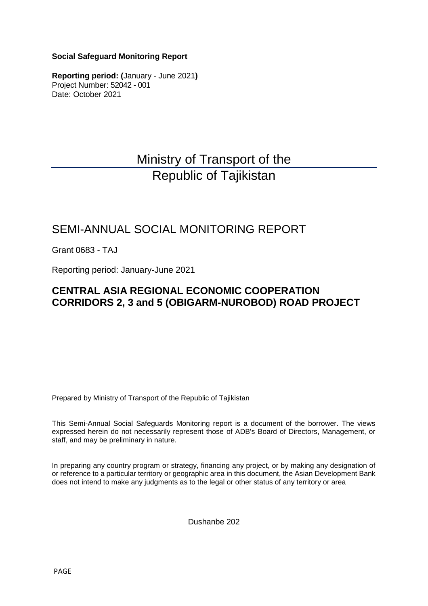**Reporting period: (**January - June 2021**)** Project Number: 52042 - 001 Date: October 2021

## Ministry of Transport of the Republic of Tajikistan

## SEMI-ANNUAL SOCIAL MONITORING REPORT

Grant 0683 - TAJ

Reporting period: January-June 2021

#### **CENTRAL ASIA REGIONAL ECONOMIC COOPERATION CORRIDORS 2, 3 and 5 (OBIGARM-NUROBOD) ROAD PROJECT**

Prepared by Ministry of Transport of the Republic of Tajikistan

This Semi-Annual Social Safeguards Monitoring report is a document of the borrower. The views expressed herein do not necessarily represent those of ADB's Board of Directors, Management, or staff, and may be preliminary in nature.

In preparing any country program or strategy, financing any project, or by making any designation of or reference to a particular territory or geographic area in this document, the Asian Development Bank does not intend to make any judgments as to the legal or other status of any territory or area

Dushanbe 202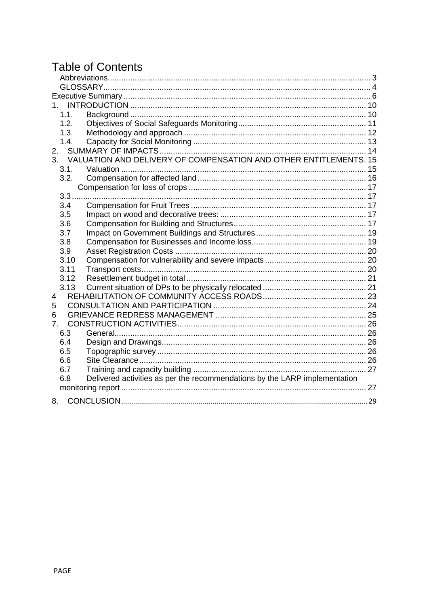## **Table of Contents**

| 1.1            |                                                                            |  |
|----------------|----------------------------------------------------------------------------|--|
| 1.2.           |                                                                            |  |
| 1.3.           |                                                                            |  |
| 1.4.           |                                                                            |  |
| 2.             |                                                                            |  |
|                | 3. VALUATION AND DELIVERY OF COMPENSATION AND OTHER ENTITLEMENTS. 15       |  |
| 3.1.           |                                                                            |  |
| 3.2.           |                                                                            |  |
|                |                                                                            |  |
| 3.3.           |                                                                            |  |
| 3.4            |                                                                            |  |
| 3.5            |                                                                            |  |
| 3.6            |                                                                            |  |
| 3.7            |                                                                            |  |
| 3.8            |                                                                            |  |
| 3.9            |                                                                            |  |
| 3.10           |                                                                            |  |
| 3.11           |                                                                            |  |
| 3.12           |                                                                            |  |
| 3.13           |                                                                            |  |
| 4              |                                                                            |  |
| 5              |                                                                            |  |
| 6              |                                                                            |  |
| 7 <sub>1</sub> |                                                                            |  |
| 6.3            |                                                                            |  |
| 6.4            |                                                                            |  |
| 6.5            |                                                                            |  |
| 6.6            |                                                                            |  |
| 6.7            |                                                                            |  |
| 6.8            | Delivered activities as per the recommendations by the LARP implementation |  |
|                |                                                                            |  |
| 8.             |                                                                            |  |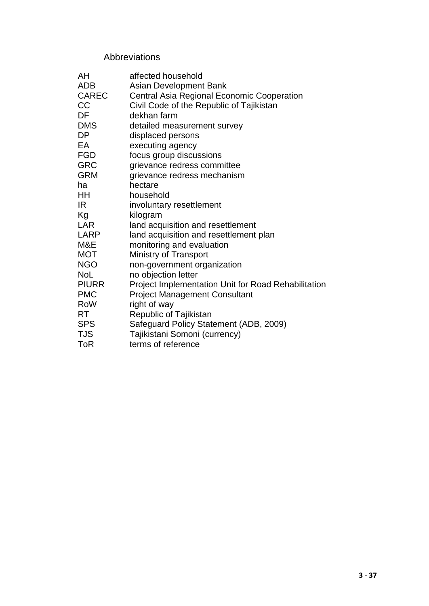#### Abbreviations

<span id="page-2-0"></span>

| AH           | affected household                                  |
|--------------|-----------------------------------------------------|
| <b>ADB</b>   | Asian Development Bank                              |
| <b>CAREC</b> | <b>Central Asia Regional Economic Cooperation</b>   |
| CC           | Civil Code of the Republic of Tajikistan            |
| DF           | dekhan farm                                         |
| <b>DMS</b>   | detailed measurement survey                         |
| <b>DP</b>    | displaced persons                                   |
| EA           | executing agency                                    |
| <b>FGD</b>   | focus group discussions                             |
| <b>GRC</b>   | grievance redress committee                         |
| <b>GRM</b>   | grievance redress mechanism                         |
| ha           | hectare                                             |
| HΗ           | household                                           |
| IR.          | involuntary resettlement                            |
| Kg           | kilogram                                            |
| LAR          | land acquisition and resettlement                   |
| LARP         | land acquisition and resettlement plan              |
| M&E          | monitoring and evaluation                           |
| <b>MOT</b>   | Ministry of Transport                               |
| <b>NGO</b>   | non-government organization                         |
| <b>NoL</b>   | no objection letter                                 |
| <b>PIURR</b> | Project Implementation Unit for Road Rehabilitation |
| <b>PMC</b>   | <b>Project Management Consultant</b>                |
| <b>RoW</b>   | right of way                                        |
| RT.          | Republic of Tajikistan                              |
| <b>SPS</b>   | Safeguard Policy Statement (ADB, 2009)              |
| <b>TJS</b>   | Tajikistani Somoni (currency)                       |
| <b>ToR</b>   | terms of reference                                  |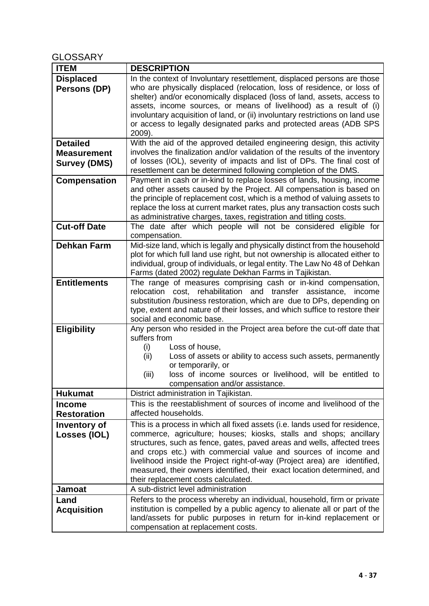#### <span id="page-3-0"></span>**GLOSSARY**

| <b>ITEM</b>         | <b>DESCRIPTION</b>                                                                                                                                   |
|---------------------|------------------------------------------------------------------------------------------------------------------------------------------------------|
| <b>Displaced</b>    | In the context of Involuntary resettlement, displaced persons are those                                                                              |
| Persons (DP)        | who are physically displaced (relocation, loss of residence, or loss of                                                                              |
|                     | shelter) and/or economically displaced (loss of land, assets, access to                                                                              |
|                     | assets, income sources, or means of livelihood) as a result of (i)                                                                                   |
|                     | involuntary acquisition of land, or (ii) involuntary restrictions on land use                                                                        |
|                     | or access to legally designated parks and protected areas (ADB SPS<br>2009).                                                                         |
| <b>Detailed</b>     | With the aid of the approved detailed engineering design, this activity                                                                              |
| <b>Measurement</b>  | involves the finalization and/or validation of the results of the inventory                                                                          |
| <b>Survey (DMS)</b> | of losses (IOL), severity of impacts and list of DPs. The final cost of                                                                              |
|                     | resettlement can be determined following completion of the DMS.                                                                                      |
| <b>Compensation</b> | Payment in cash or in-kind to replace losses of lands, housing, income                                                                               |
|                     | and other assets caused by the Project. All compensation is based on                                                                                 |
|                     | the principle of replacement cost, which is a method of valuing assets to                                                                            |
|                     | replace the loss at current market rates, plus any transaction costs such                                                                            |
|                     | as administrative charges, taxes, registration and titling costs.                                                                                    |
| <b>Cut-off Date</b> | The date after which people will not be considered eligible for<br>compensation.                                                                     |
| <b>Dehkan Farm</b>  | Mid-size land, which is legally and physically distinct from the household                                                                           |
|                     | plot for which full land use right, but not ownership is allocated either to                                                                         |
|                     | individual, group of individuals, or legal entity. The Law No 48 of Dehkan                                                                           |
|                     | Farms (dated 2002) regulate Dekhan Farms in Tajikistan.                                                                                              |
| <b>Entitlements</b> | The range of measures comprising cash or in-kind compensation,                                                                                       |
|                     | relocation<br>cost, rehabilitation and transfer assistance,<br>income                                                                                |
|                     | substitution /business restoration, which are due to DPs, depending on                                                                               |
|                     | type, extent and nature of their losses, and which suffice to restore their                                                                          |
|                     | social and economic base.                                                                                                                            |
| <b>Eligibility</b>  | Any person who resided in the Project area before the cut-off date that<br>suffers from                                                              |
|                     | Loss of house,<br>(i)                                                                                                                                |
|                     | Loss of assets or ability to access such assets, permanently<br>(ii)                                                                                 |
|                     | or temporarily, or                                                                                                                                   |
|                     | loss of income sources or livelihood, will be entitled to<br>(iii)                                                                                   |
|                     | compensation and/or assistance.                                                                                                                      |
| <b>Hukumat</b>      | District administration in Tajikistan.                                                                                                               |
| <b>Income</b>       | This is the reestablishment of sources of income and livelihood of the                                                                               |
| <b>Restoration</b>  | affected households.                                                                                                                                 |
| Inventory of        | This is a process in which all fixed assets (i.e. lands used for residence,                                                                          |
| Losses (IOL)        | commerce, agriculture; houses; kiosks, stalls and shops; ancillary                                                                                   |
|                     | structures, such as fence, gates, paved areas and wells, affected trees                                                                              |
|                     | and crops etc.) with commercial value and sources of income and                                                                                      |
|                     | livelihood inside the Project right-of-way (Project area) are identified,<br>measured, their owners identified, their exact location determined, and |
|                     | their replacement costs calculated.                                                                                                                  |
| <b>Jamoat</b>       | A sub-district level administration                                                                                                                  |
| Land                | Refers to the process whereby an individual, household, firm or private                                                                              |
| <b>Acquisition</b>  | institution is compelled by a public agency to alienate all or part of the                                                                           |
|                     | land/assets for public purposes in return for in-kind replacement or                                                                                 |
|                     | compensation at replacement costs.                                                                                                                   |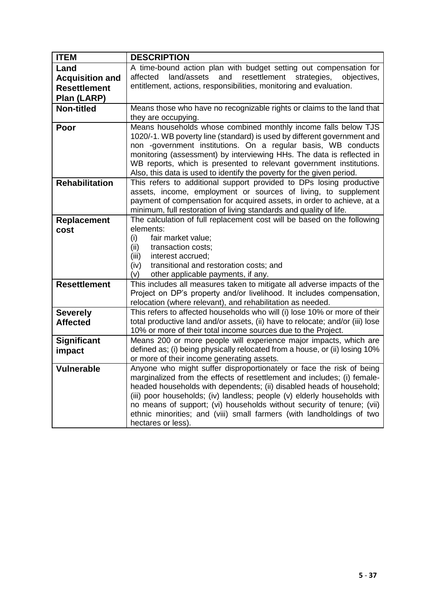| <b>ITEM</b><br><b>DESCRIPTION</b>                                                                                                                                    |  |
|----------------------------------------------------------------------------------------------------------------------------------------------------------------------|--|
| A time-bound action plan with budget setting out compensation for<br>Land                                                                                            |  |
| affected<br>land/assets<br>and<br>resettlement<br>strategies, objectives,<br><b>Acquisition and</b>                                                                  |  |
| entitlement, actions, responsibilities, monitoring and evaluation.<br><b>Resettlement</b>                                                                            |  |
| Plan (LARP)                                                                                                                                                          |  |
| Means those who have no recognizable rights or claims to the land that<br><b>Non-titled</b>                                                                          |  |
| they are occupying.                                                                                                                                                  |  |
| Means households whose combined monthly income falls below TJS<br>Poor                                                                                               |  |
| 1020/-1. WB poverty line (standard) is used by different government and                                                                                              |  |
| non -government institutions. On a regular basis, WB conducts                                                                                                        |  |
| monitoring (assessment) by interviewing HHs. The data is reflected in                                                                                                |  |
| WB reports, which is presented to relevant government institutions.                                                                                                  |  |
| Also, this data is used to identify the poverty for the given period.                                                                                                |  |
| <b>Rehabilitation</b><br>This refers to additional support provided to DPs losing productive                                                                         |  |
| assets, income, employment or sources of living, to supplement<br>payment of compensation for acquired assets, in order to achieve, at a                             |  |
| minimum, full restoration of living standards and quality of life.                                                                                                   |  |
| The calculation of full replacement cost will be based on the following<br><b>Replacement</b>                                                                        |  |
| elements:<br>cost                                                                                                                                                    |  |
| fair market value;<br>(i)                                                                                                                                            |  |
| transaction costs;<br>(ii)                                                                                                                                           |  |
| (iii)<br>interest accrued;                                                                                                                                           |  |
| transitional and restoration costs; and<br>(iv)                                                                                                                      |  |
| other applicable payments, if any.<br>(v)                                                                                                                            |  |
| This includes all measures taken to mitigate all adverse impacts of the<br><b>Resettlement</b>                                                                       |  |
| Project on DP's property and/or livelihood. It includes compensation,                                                                                                |  |
| relocation (where relevant), and rehabilitation as needed.                                                                                                           |  |
| This refers to affected households who will (i) lose 10% or more of their<br><b>Severely</b>                                                                         |  |
| total productive land and/or assets, (ii) have to relocate; and/or (iii) lose<br><b>Affected</b>                                                                     |  |
| 10% or more of their total income sources due to the Project.                                                                                                        |  |
| <b>Significant</b><br>Means 200 or more people will experience major impacts, which are                                                                              |  |
| defined as; (i) being physically relocated from a house, or (ii) losing 10%<br>impact                                                                                |  |
| or more of their income generating assets.                                                                                                                           |  |
| <b>Vulnerable</b><br>Anyone who might suffer disproportionately or face the risk of being<br>marginalized from the effects of resettlement and includes; (i) female- |  |
| headed households with dependents; (ii) disabled heads of household;                                                                                                 |  |
| (iii) poor households; (iv) landless; people (v) elderly households with                                                                                             |  |
| no means of support; (vi) households without security of tenure; (vii)                                                                                               |  |
| ethnic minorities; and (viii) small farmers (with landholdings of two                                                                                                |  |
| hectares or less).                                                                                                                                                   |  |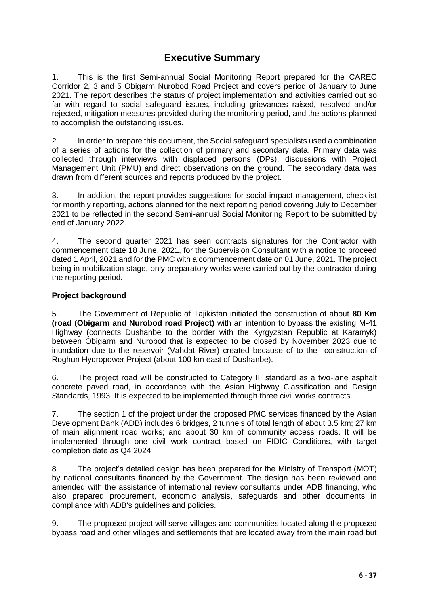#### **Executive Summary**

<span id="page-5-0"></span>1. This is the first Semi-annual Social Monitoring Report prepared for the CAREC Corridor 2, 3 and 5 Obigarm Nurobod Road Project and covers period of January to June 2021. The report describes the status of project implementation and activities carried out so far with regard to social safeguard issues, including grievances raised, resolved and/or rejected, mitigation measures provided during the monitoring period, and the actions planned to accomplish the outstanding issues.

2. In order to prepare this document, the Social safeguard specialists used a combination of a series of actions for the collection of primary and secondary data. Primary data was collected through interviews with displaced persons (DPs), discussions with Project Management Unit (PMU) and direct observations on the ground. The secondary data was drawn from different sources and reports produced by the project.

3. In addition, the report provides suggestions for social impact management, checklist for monthly reporting, actions planned for the next reporting period covering July to December 2021 to be reflected in the second Semi-annual Social Monitoring Report to be submitted by end of January 2022.

4. The second quarter 2021 has seen contracts signatures for the Contractor with commencement date 18 June, 2021, for the Supervision Consultant with a notice to proceed dated 1 April, 2021 and for the PMC with a commencement date on 01 June, 2021. The project being in mobilization stage, only preparatory works were carried out by the contractor during the reporting period.

#### **Project background**

5. The Government of Republic of Tajikistan initiated the construction of about **80 Km (road (Obigarm and Nurobod road Project)** with an intention to bypass the existing M-41 Highway (connects Dushanbe to the border with the Kyrgyzstan Republic at Karamyk) between Obigarm and Nurobod that is expected to be closed by November 2023 due to inundation due to the reservoir (Vahdat River) created because of to the construction of Roghun Hydropower Project (about 100 km east of Dushanbe).

6. The project road will be constructed to Category III standard as a two-lane asphalt concrete paved road, in accordance with the Asian Highway Classification and Design Standards, 1993. It is expected to be implemented through three civil works contracts.

7. The section 1 of the project under the proposed PMC services financed by the Asian Development Bank (ADB) includes 6 bridges, 2 tunnels of total length of about 3.5 km; 27 km of main alignment road works; and about 30 km of community access roads. It will be implemented through one civil work contract based on FIDIC Conditions, with target completion date as Q4 2024

8. The project's detailed design has been prepared for the Ministry of Transport (MOT) by national consultants financed by the Government. The design has been reviewed and amended with the assistance of international review consultants under ADB financing, who also prepared procurement, economic analysis, safeguards and other documents in compliance with ADB's guidelines and policies.

9. The proposed project will serve villages and communities located along the proposed bypass road and other villages and settlements that are located away from the main road but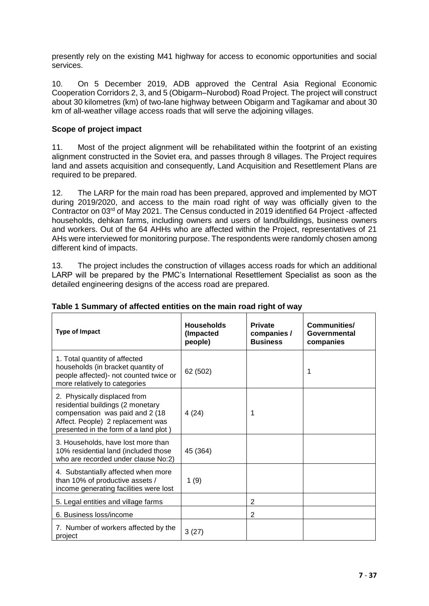presently rely on the existing M41 highway for access to economic opportunities and social services.

10. On 5 December 2019, ADB approved the Central Asia Regional Economic Cooperation Corridors 2, 3, and 5 (Obigarm–Nurobod) Road Project. The project will construct about 30 kilometres (km) of two-lane highway between Obigarm and Tagikamar and about 30 km of all-weather village access roads that will serve the adjoining villages.

#### **Scope of project impact**

11. Most of the project alignment will be rehabilitated within the footprint of an existing alignment constructed in the Soviet era, and passes through 8 villages. The Project requires land and assets acquisition and consequently, Land Acquisition and Resettlement Plans are required to be prepared.

12. The LARP for the main road has been prepared, approved and implemented by MOT during 2019/2020, and access to the main road right of way was officially given to the Contractor on 03rd of May 2021. The Census conducted in 2019 identified 64 Project -affected households, dehkan farms, including owners and users of land/buildings, business owners and workers. Out of the 64 AHHs who are affected within the Project, representatives of 21 AHs were interviewed for monitoring purpose. The respondents were randomly chosen among different kind of impacts.

13. The project includes the construction of villages access roads for which an additional LARP will be prepared by the PMC's International Resettlement Specialist as soon as the detailed engineering designs of the access road are prepared.

| <b>Type of Impact</b>                                                                                                                                                              | <b>Households</b><br>(Impacted<br>people) | <b>Private</b><br>companies /<br><b>Business</b> | <b>Communities/</b><br>Governmental<br>companies |
|------------------------------------------------------------------------------------------------------------------------------------------------------------------------------------|-------------------------------------------|--------------------------------------------------|--------------------------------------------------|
| 1. Total quantity of affected<br>households (in bracket quantity of<br>people affected)- not counted twice or<br>more relatively to categories                                     | 62 (502)                                  |                                                  | 1                                                |
| 2. Physically displaced from<br>residential buildings (2 monetary<br>compensation was paid and 2 (18<br>Affect. People) 2 replacement was<br>presented in the form of a land plot) | 4(24)                                     | 1                                                |                                                  |
| 3. Households, have lost more than<br>10% residential land (included those<br>who are recorded under clause No:2)                                                                  | 45 (364)                                  |                                                  |                                                  |
| 4. Substantially affected when more<br>than 10% of productive assets /<br>income generating facilities were lost                                                                   | 1(9)                                      |                                                  |                                                  |
| 5. Legal entities and village farms                                                                                                                                                |                                           | 2                                                |                                                  |
| 6. Business loss/income                                                                                                                                                            |                                           | $\overline{2}$                                   |                                                  |
| 7. Number of workers affected by the<br>project                                                                                                                                    | 3(27)                                     |                                                  |                                                  |

#### **Table 1 Summary of affected entities on the main road right of way**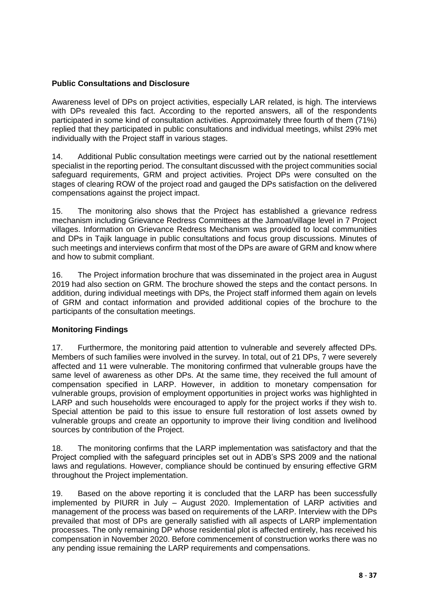#### **Public Consultations and Disclosure**

Awareness level of DPs on project activities, especially LAR related, is high. The interviews with DPs revealed this fact. According to the reported answers, all of the respondents participated in some kind of consultation activities. Approximately three fourth of them (71%) replied that they participated in public consultations and individual meetings, whilst 29% met individually with the Project staff in various stages.

14. Additional Public consultation meetings were carried out by the national resettlement specialist in the reporting period. The consultant discussed with the project communities social safeguard requirements, GRM and project activities. Project DPs were consulted on the stages of clearing ROW of the project road and gauged the DPs satisfaction on the delivered compensations against the project impact.

15. The monitoring also shows that the Project has established a grievance redress mechanism including Grievance Redress Committees at the Jamoat/village level in 7 Project villages. Information on Grievance Redress Mechanism was provided to local communities and DPs in Tajik language in public consultations and focus group discussions. Minutes of such meetings and interviews confirm that most of the DPs are aware of GRM and know where and how to submit compliant.

16. The Project information brochure that was disseminated in the project area in August 2019 had also section on GRM. The brochure showed the steps and the contact persons. In addition, during individual meetings with DPs, the Project staff informed them again on levels of GRM and contact information and provided additional copies of the brochure to the participants of the consultation meetings.

#### **Monitoring Findings**

17. Furthermore, the monitoring paid attention to vulnerable and severely affected DPs. Members of such families were involved in the survey. In total, out of 21 DPs, 7 were severely affected and 11 were vulnerable. The monitoring confirmed that vulnerable groups have the same level of awareness as other DPs. At the same time, they received the full amount of compensation specified in LARP. However, in addition to monetary compensation for vulnerable groups, provision of employment opportunities in project works was highlighted in LARP and such households were encouraged to apply for the project works if they wish to. Special attention be paid to this issue to ensure full restoration of lost assets owned by vulnerable groups and create an opportunity to improve their living condition and livelihood sources by contribution of the Project.

18. The monitoring confirms that the LARP implementation was satisfactory and that the Project complied with the safeguard principles set out in ADB's SPS 2009 and the national laws and regulations. However, compliance should be continued by ensuring effective GRM throughout the Project implementation.

19. Based on the above reporting it is concluded that the LARP has been successfully implemented by PIURR in July – August 2020. Implementation of LARP activities and management of the process was based on requirements of the LARP. Interview with the DPs prevailed that most of DPs are generally satisfied with all aspects of LARP implementation processes. The only remaining DP whose residential plot is affected entirely, has received his compensation in November 2020. Before commencement of construction works there was no any pending issue remaining the LARP requirements and compensations.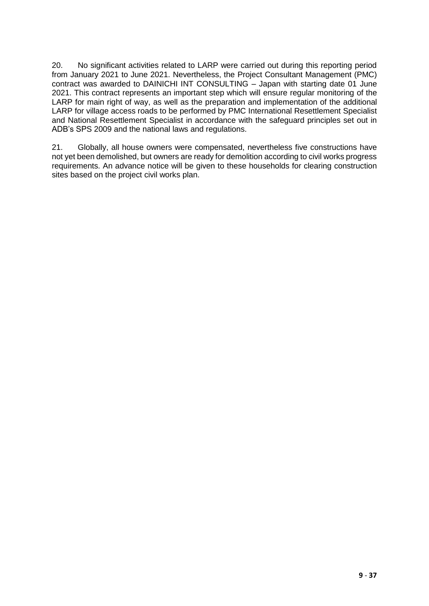20. No significant activities related to LARP were carried out during this reporting period from January 2021 to June 2021. Nevertheless, the Project Consultant Management (PMC) contract was awarded to DAINICHI INT CONSULTING – Japan with starting date 01 June 2021. This contract represents an important step which will ensure regular monitoring of the LARP for main right of way, as well as the preparation and implementation of the additional LARP for village access roads to be performed by PMC International Resettlement Specialist and National Resettlement Specialist in accordance with the safeguard principles set out in ADB's SPS 2009 and the national laws and regulations.

21. Globally, all house owners were compensated, nevertheless five constructions have not yet been demolished, but owners are ready for demolition according to civil works progress requirements. An advance notice will be given to these households for clearing construction sites based on the project civil works plan.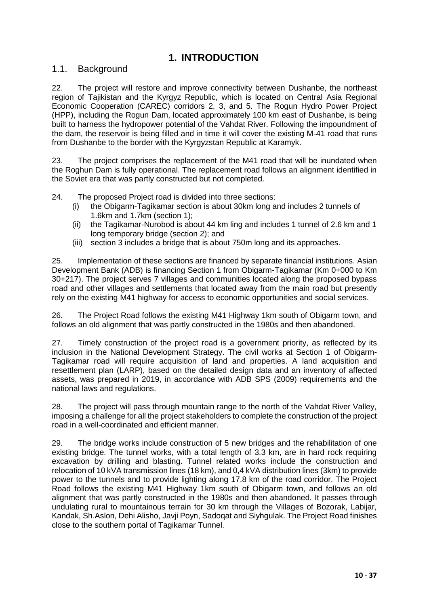#### **1. INTRODUCTION**

#### <span id="page-9-1"></span><span id="page-9-0"></span>1.1. Background

22. The project will restore and improve connectivity between Dushanbe, the northeast region of Tajikistan and the Kyrgyz Republic, which is located on Central Asia Regional Economic Cooperation (CAREC) corridors 2, 3, and 5. The Rogun Hydro Power Project (HPP), including the Rogun Dam, located approximately 100 km east of Dushanbe, is being built to harness the hydropower potential of the Vahdat River. Following the impoundment of the dam, the reservoir is being filled and in time it will cover the existing M-41 road that runs from Dushanbe to the border with the Kyrgyzstan Republic at Karamyk.

23. The project comprises the replacement of the M41 road that will be inundated when the Roghun Dam is fully operational. The replacement road follows an alignment identified in the Soviet era that was partly constructed but not completed.

24. The proposed Project road is divided into three sections:

- (i) the Obigarm-Tagikamar section is about 30km long and includes 2 tunnels of 1.6km and 1.7km (section 1);
- (ii) the Tagikamar-Nurobod is about 44 km ling and includes 1 tunnel of 2.6 km and 1 long temporary bridge (section 2); and
- (iii) section 3 includes a bridge that is about 750m long and its approaches.

25. Implementation of these sections are financed by separate financial institutions. Asian Development Bank (ADB) is financing Section 1 from Obigarm-Tagikamar (Km 0+000 to Km 30+217). The project serves 7 villages and communities located along the proposed bypass road and other villages and settlements that located away from the main road but presently rely on the existing M41 highway for access to economic opportunities and social services.

26. The Project Road follows the existing M41 Highway 1km south of Obigarm town, and follows an old alignment that was partly constructed in the 1980s and then abandoned.

27. Timely construction of the project road is a government priority, as reflected by its inclusion in the National Development Strategy. The civil works at Section 1 of Obigarm-Tagikamar road will require acquisition of land and properties. A land acquisition and resettlement plan (LARP), based on the detailed design data and an inventory of affected assets, was prepared in 2019, in accordance with ADB SPS (2009) requirements and the national laws and regulations.

28. The project will pass through mountain range to the north of the Vahdat River Valley, imposing a challenge for all the project stakeholders to complete the construction of the project road in a well-coordinated and efficient manner.

29. The bridge works include construction of 5 new bridges and the rehabilitation of one existing bridge. The tunnel works, with a total length of 3.3 km, are in hard rock requiring excavation by drilling and blasting. Tunnel related works include the construction and relocation of 10 kVA transmission lines (18 km), and 0,4 kVA distribution lines (3km) to provide power to the tunnels and to provide lighting along 17.8 km of the road corridor. The Project Road follows the existing M41 Highway 1km south of Obigarm town, and follows an old alignment that was partly constructed in the 1980s and then abandoned. It passes through undulating rural to mountainous terrain for 30 km through the Villages of Bozorak, Labijar, Kandak, Sh.Aslon, Dehi Alisho, Javji Poyn, Sadoqat and Siyhgulak. The Project Road finishes close to the southern portal of Tagikamar Tunnel.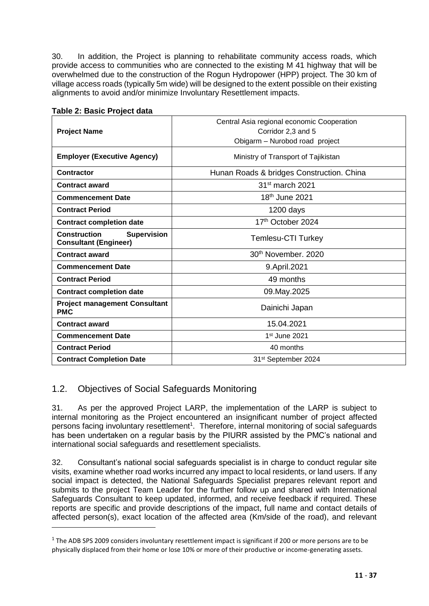30. In addition, the Project is planning to rehabilitate community access roads, which provide access to communities who are connected to the existing M 41 highway that will be overwhelmed due to the construction of the Rogun Hydropower (HPP) project. The 30 km of village access roads (typically 5m wide) will be designed to the extent possible on their existing alignments to avoid and/or minimize Involuntary Resettlement impacts.

| Table 2: Basic Project data |
|-----------------------------|
|-----------------------------|

| <b>Project Name</b>                                                       | Central Asia regional economic Cooperation<br>Corridor 2,3 and 5 |
|---------------------------------------------------------------------------|------------------------------------------------------------------|
|                                                                           | Obigarm - Nurobod road project                                   |
| <b>Employer (Executive Agency)</b>                                        | Ministry of Transport of Tajikistan                              |
| <b>Contractor</b>                                                         | Hunan Roads & bridges Construction. China                        |
| <b>Contract award</b>                                                     | 31 <sup>st</sup> march 2021                                      |
| <b>Commencement Date</b>                                                  | 18th June 2021                                                   |
| <b>Contract Period</b>                                                    | $1200$ days                                                      |
| <b>Contract completion date</b>                                           | 17 <sup>th</sup> October 2024                                    |
| <b>Construction</b><br><b>Supervision</b><br><b>Consultant (Engineer)</b> | <b>Temlesu-CTI Turkey</b>                                        |
| <b>Contract award</b>                                                     | 30 <sup>th</sup> November, 2020                                  |
| <b>Commencement Date</b>                                                  | 9.April.2021                                                     |
| <b>Contract Period</b>                                                    | 49 months                                                        |
| <b>Contract completion date</b>                                           | 09. May . 2025                                                   |
| <b>Project management Consultant</b><br><b>PMC</b>                        | Dainichi Japan                                                   |
| <b>Contract award</b>                                                     | 15.04.2021                                                       |
| <b>Commencement Date</b>                                                  | 1st June 2021                                                    |
| <b>Contract Period</b>                                                    | 40 months                                                        |
| <b>Contract Completion Date</b>                                           | 31 <sup>st</sup> September 2024                                  |

#### <span id="page-10-0"></span>1.2. Objectives of Social Safeguards Monitoring

1

31. As per the approved Project LARP, the implementation of the LARP is subject to internal monitoring as the Project encountered an insignificant number of project affected persons facing involuntary resettlement<sup>1</sup>. Therefore, internal monitoring of social safeguards has been undertaken on a regular basis by the PIURR assisted by the PMC's national and international social safeguards and resettlement specialists.

32. Consultant's national social safeguards specialist is in charge to conduct regular site visits, examine whether road works incurred any impact to local residents, or land users. If any social impact is detected, the National Safeguards Specialist prepares relevant report and submits to the project Team Leader for the further follow up and shared with International Safeguards Consultant to keep updated, informed, and receive feedback if required. These reports are specific and provide descriptions of the impact, full name and contact details of affected person(s), exact location of the affected area (Km/side of the road), and relevant

 $1$  The ADB SPS 2009 considers involuntary resettlement impact is significant if 200 or more persons are to be physically displaced from their home or lose 10% or more of their productive or income-generating assets.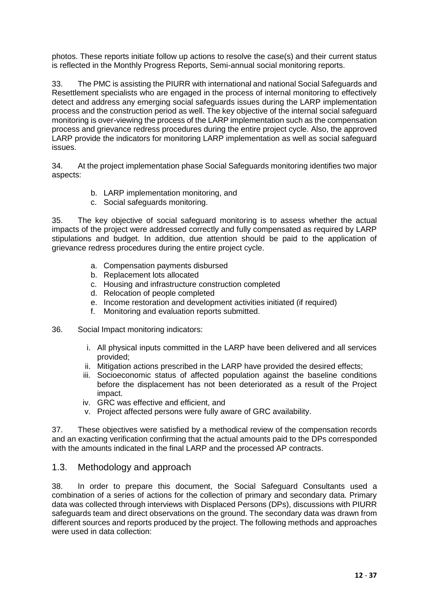photos. These reports initiate follow up actions to resolve the case(s) and their current status is reflected in the Monthly Progress Reports, Semi-annual social monitoring reports.

33. The PMC is assisting the PIURR with international and national Social Safeguards and Resettlement specialists who are engaged in the process of internal monitoring to effectively detect and address any emerging social safeguards issues during the LARP implementation process and the construction period as well. The key objective of the internal social safeguard monitoring is over-viewing the process of the LARP implementation such as the compensation process and grievance redress procedures during the entire project cycle. Also, the approved LARP provide the indicators for monitoring LARP implementation as well as social safeguard issues.

34. At the project implementation phase Social Safeguards monitoring identifies two major aspects:

- b. LARP implementation monitoring, and
- c. Social safeguards monitoring.

35. The key objective of social safeguard monitoring is to assess whether the actual impacts of the project were addressed correctly and fully compensated as required by LARP stipulations and budget. In addition, due attention should be paid to the application of grievance redress procedures during the entire project cycle.

- a. Compensation payments disbursed
- b. Replacement lots allocated
- c. Housing and infrastructure construction completed
- d. Relocation of people completed
- e. Income restoration and development activities initiated (if required)
- f. Monitoring and evaluation reports submitted.
- 36. Social Impact monitoring indicators:
	- i. All physical inputs committed in the LARP have been delivered and all services provided;
	- ii. Mitigation actions prescribed in the LARP have provided the desired effects;
	- iii. Socioeconomic status of affected population against the baseline conditions before the displacement has not been deteriorated as a result of the Project impact.
	- iv. GRC was effective and efficient, and
	- v. Project affected persons were fully aware of GRC availability.

37. These objectives were satisfied by a methodical review of the compensation records and an exacting verification confirming that the actual amounts paid to the DPs corresponded with the amounts indicated in the final LARP and the processed AP contracts.

#### <span id="page-11-0"></span>1.3. Methodology and approach

38. In order to prepare this document, the Social Safeguard Consultants used a combination of a series of actions for the collection of primary and secondary data. Primary data was collected through interviews with Displaced Persons (DPs), discussions with PIURR safeguards team and direct observations on the ground. The secondary data was drawn from different sources and reports produced by the project. The following methods and approaches were used in data collection: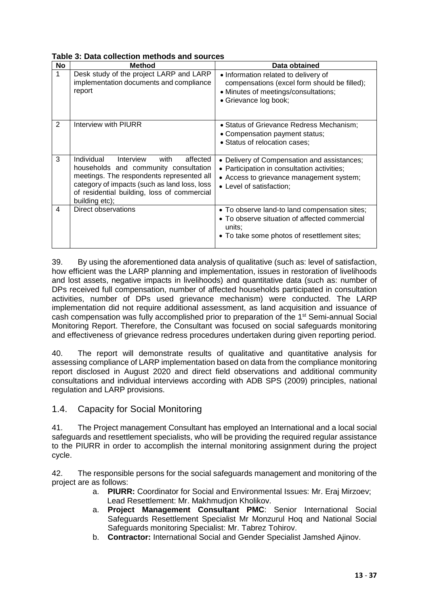| No | <b>Method</b>                                                                                                                                                                                                                                      | Data obtained                                                                                                                                                      |
|----|----------------------------------------------------------------------------------------------------------------------------------------------------------------------------------------------------------------------------------------------------|--------------------------------------------------------------------------------------------------------------------------------------------------------------------|
| 1  | Desk study of the project LARP and LARP<br>implementation documents and compliance<br>report                                                                                                                                                       | • Information related to delivery of<br>compensations (excel form should be filled);<br>• Minutes of meetings/consultations;<br>· Grievance log book;              |
| 2  | Interview with PIURR                                                                                                                                                                                                                               | • Status of Grievance Redress Mechanism;<br>• Compensation payment status;<br>• Status of relocation cases;                                                        |
| 3  | Individual<br>Interview<br>affected<br>with<br>households and community consultation<br>meetings. The respondents represented all<br>category of impacts (such as land loss, loss<br>of residential building, loss of commercial<br>building etc); | • Delivery of Compensation and assistances;<br>• Participation in consultation activities;<br>• Access to grievance management system;<br>• Level of satisfaction; |
| 4  | Direct observations                                                                                                                                                                                                                                | • To observe land-to land compensation sites;<br>• To observe situation of affected commercial<br>units:<br>• To take some photos of resettlement sites;           |

**Table 3: Data collection methods and sources**

39. By using the aforementioned data analysis of qualitative (such as: level of satisfaction, how efficient was the LARP planning and implementation, issues in restoration of livelihoods and lost assets, negative impacts in livelihoods) and quantitative data (such as: number of DPs received full compensation, number of affected households participated in consultation activities, number of DPs used grievance mechanism) were conducted. The LARP implementation did not require additional assessment, as land acquisition and issuance of cash compensation was fully accomplished prior to preparation of the 1st Semi-annual Social Monitoring Report. Therefore, the Consultant was focused on social safeguards monitoring and effectiveness of grievance redress procedures undertaken during given reporting period.

40. The report will demonstrate results of qualitative and quantitative analysis for assessing compliance of LARP implementation based on data from the compliance monitoring report disclosed in August 2020 and direct field observations and additional community consultations and individual interviews according with ADB SPS (2009) principles, national regulation and LARP provisions.

<span id="page-12-0"></span>1.4. Capacity for Social Monitoring

41. The Project management Consultant has employed an International and a local social safeguards and resettlement specialists, who will be providing the required regular assistance to the PIURR in order to accomplish the internal monitoring assignment during the project cycle.

42. The responsible persons for the social safeguards management and monitoring of the project are as follows:

- a. **PIURR:** Coordinator for Social and Environmental Issues: Mr. Eraj Mirzoev; Lead Resettlement: Mr. Makhmudjon Kholikov.
- a. **Project Management Consultant PMC**: Senior International Social Safeguards Resettlement Specialist Mr Monzurul Hoq and National Social Safeguards monitoring Specialist: Mr. Tabrez Tohirov.
- b. **Contractor:** International Social and Gender Specialist Jamshed Ajinov.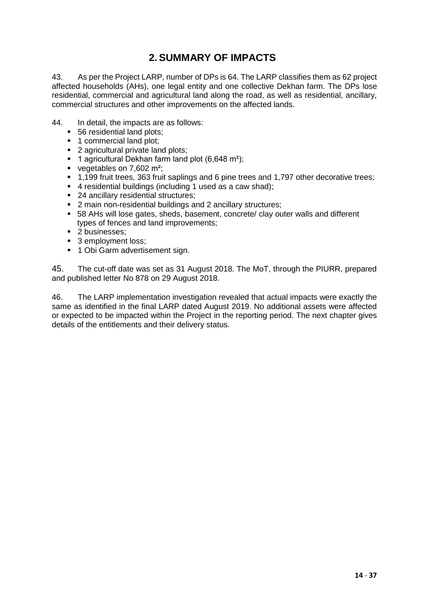#### **2.SUMMARY OF IMPACTS**

<span id="page-13-0"></span>43. As per the Project LARP, number of DPs is 64. The LARP classifies them as 62 project affected households (AHs), one legal entity and one collective Dekhan farm. The DPs lose residential, commercial and agricultural land along the road, as well as residential, ancillary, commercial structures and other improvements on the affected lands.

- 44. In detail, the impacts are as follows:
	- 56 residential land plots;
	- 1 commercial land plot;
	- 2 agricultural private land plots;
	- $\blacksquare$  1 agricultural Dekhan farm land plot (6,648 m<sup>2</sup>);
	- vegetables on  $7,602 \text{ m}^2$ ;
	- <sup>1</sup>.199 fruit trees, 363 fruit saplings and 6 pine trees and 1,797 other decorative trees;
	- 4 residential buildings (including 1 used as a caw shad);
	- 24 ancillary residential structures;
	- **2** main non-residential buildings and 2 ancillary structures;
	- 58 AHs will lose gates, sheds, basement, concrete/ clay outer walls and different types of fences and land improvements;
	- 2 businesses;
	- 3 employment loss:
	- **1 Obi Garm advertisement sign.**

45. The cut-off date was set as 31 August 2018. The MoT, through the PIURR, prepared and published letter No 878 on 29 August 2018.

46. The LARP implementation investigation revealed that actual impacts were exactly the same as identified in the final LARP dated August 2019. No additional assets were affected or expected to be impacted within the Project in the reporting period. The next chapter gives details of the entitlements and their delivery status.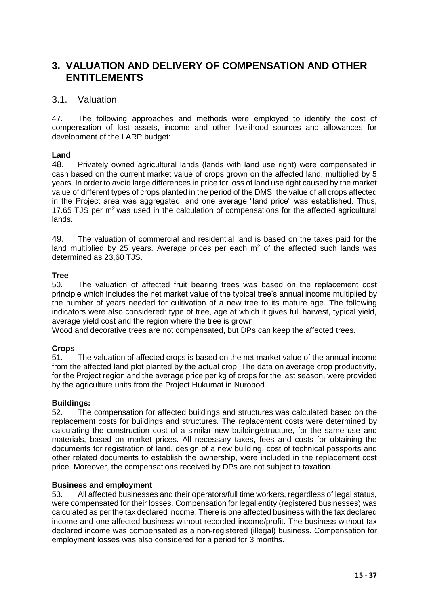#### <span id="page-14-0"></span>**3. VALUATION AND DELIVERY OF COMPENSATION AND OTHER ENTITLEMENTS**

#### <span id="page-14-1"></span>3.1. Valuation

47. The following approaches and methods were employed to identify the cost of compensation of lost assets, income and other livelihood sources and allowances for development of the LARP budget:

#### **Land**

48. Privately owned agricultural lands (lands with land use right) were compensated in cash based on the current market value of crops grown on the affected land, multiplied by 5 years. In order to avoid large differences in price for loss of land use right caused by the market value of different types of crops planted in the period of the DMS, the value of all crops affected in the Project area was aggregated, and one average "land price" was established. Thus, 17.65 TJS per m<sup>2</sup> was used in the calculation of compensations for the affected agricultural lands.

49. The valuation of commercial and residential land is based on the taxes paid for the land multiplied by 25 years. Average prices per each  $m<sup>2</sup>$  of the affected such lands was determined as 23,60 TJS.

#### **Tree**

50. The valuation of affected fruit bearing trees was based on the replacement cost principle which includes the net market value of the typical tree's annual income multiplied by the number of years needed for cultivation of a new tree to its mature age. The following indicators were also considered: type of tree, age at which it gives full harvest, typical yield, average yield cost and the region where the tree is grown.

Wood and decorative trees are not compensated, but DPs can keep the affected trees.

#### **Crops**

51. The valuation of affected crops is based on the net market value of the annual income from the affected land plot planted by the actual crop. The data on average crop productivity, for the Project region and the average price per kg of crops for the last season, were provided by the agriculture units from the Project Hukumat in Nurobod.

#### **Buildings:**

52. The compensation for affected buildings and structures was calculated based on the replacement costs for buildings and structures. The replacement costs were determined by calculating the construction cost of a similar new building/structure, for the same use and materials, based on market prices. All necessary taxes, fees and costs for obtaining the documents for registration of land, design of a new building, cost of technical passports and other related documents to establish the ownership, were included in the replacement cost price. Moreover, the compensations received by DPs are not subject to taxation.

#### **Business and employment**

53. All affected businesses and their operators/full time workers, regardless of legal status, were compensated for their losses. Compensation for legal entity (registered businesses) was calculated as per the tax declared income. There is one affected business with the tax declared income and one affected business without recorded income/profit. The business without tax declared income was compensated as a non-registered (illegal) business. Compensation for employment losses was also considered for a period for 3 months.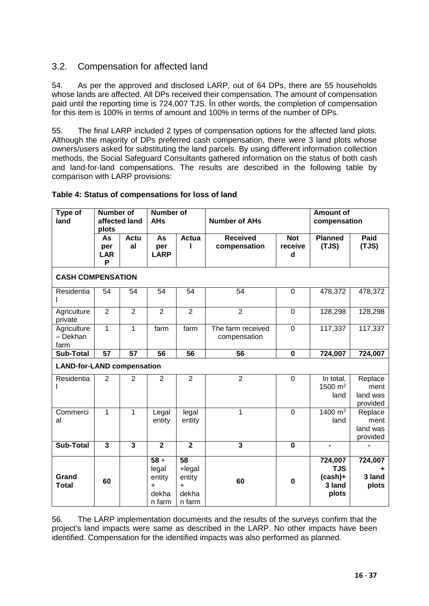#### <span id="page-15-0"></span>3.2. Compensation for affected land

54. As per the approved and disclosed LARP, out of 64 DPs, there are 55 households whose lands are affected. All DPs received their compensation. The amount of compensation paid until the reporting time is 724,007 TJS. İn other words, the completion of compensation for this item is 100% in terms of amount and 100% in terms of the number of DPs.

55. The final LARP included 2 types of compensation options for the affected land plots. Although the majority of DPs preferred cash compensation, there were 3 land plots whose owners/users asked for substituting the land parcels. By using different information collection methods, the Social Safeguard Consultants gathered information on the status of both cash and land-for-land compensations. The results are described in the following table by comparison with LARP provisions:

| Type of<br>land                   | <b>Number of</b><br>plots    | affected land     | <b>AHs</b>                                                | <b>Number of</b><br><b>Amount of</b><br><b>Number of AHs</b><br>compensation |                                   |                            |                                                       |                                         |  |
|-----------------------------------|------------------------------|-------------------|-----------------------------------------------------------|------------------------------------------------------------------------------|-----------------------------------|----------------------------|-------------------------------------------------------|-----------------------------------------|--|
|                                   | As<br>per<br><b>LAR</b><br>P | <b>Actu</b><br>al | As<br>per<br><b>LARP</b>                                  | <b>Actua</b>                                                                 | <b>Received</b><br>compensation   | <b>Not</b><br>receive<br>d | <b>Planned</b><br>(TJS)                               | Paid<br>(TJS)                           |  |
| <b>CASH COMPENSATION</b>          |                              |                   |                                                           |                                                                              |                                   |                            |                                                       |                                         |  |
| Residentia                        | 54                           | 54                | 54                                                        | 54                                                                           | 54                                | $\mathbf 0$                | 478,372                                               | 478,372                                 |  |
| Agriculture<br>private            | $\overline{2}$               | $\overline{2}$    | $\overline{2}$                                            | $\overline{2}$                                                               | $\overline{2}$                    | $\overline{0}$             | 128,298                                               | 128,298                                 |  |
| Agriculture<br>- Dekhan<br>farm   | 1                            | 1                 | farm                                                      | farm                                                                         | The farm received<br>compensation | $\mathbf 0$                | 117,337                                               | 117,337                                 |  |
| Sub-Total                         | 57                           | 57                | 56                                                        | 56                                                                           | $\overline{56}$                   | $\mathbf 0$                | 724,007                                               | 724,007                                 |  |
| <b>LAND-for-LAND compensation</b> |                              |                   |                                                           |                                                                              |                                   |                            |                                                       |                                         |  |
| Residentia                        | $\overline{2}$               | $\overline{2}$    | $\overline{2}$                                            | $\overline{2}$                                                               | $\overline{2}$                    | $\mathbf 0$                | In total,<br>1500 m <sup>2</sup><br>land              | Replace<br>ment<br>land was<br>provided |  |
| Commerci<br>al                    | 1                            | $\mathbf{1}$      | Legal<br>entity                                           | legal<br>entity                                                              | 1                                 | $\mathbf 0$                | 1400 m <sup>2</sup><br>land                           | Replace<br>ment<br>land was<br>provided |  |
| <b>Sub-Total</b>                  | $\overline{3}$               | 3                 | $\overline{2}$                                            | $\overline{2}$                                                               | 3                                 | $\mathbf 0$                | $\blacksquare$                                        |                                         |  |
| Grand<br><b>Total</b>             | 60                           |                   | $58 +$<br>legal<br>entity<br>$\ddot{}$<br>dekha<br>n farm | 58<br>+legal<br>entity<br>$\ddot{}$<br>dekha<br>n farm                       | 60                                | $\mathbf 0$                | 724,007<br><b>TJS</b><br>$(cash)+$<br>3 land<br>plots | 724,007<br>3 land<br>plots              |  |

#### **Table 4: Status of compensations for loss of land**

56. The LARP implementation documents and the results of the surveys confirm that the project's land impacts were same as described in the LARP. No other impacts have been identified. Compensation for the identified impacts was also performed as planned.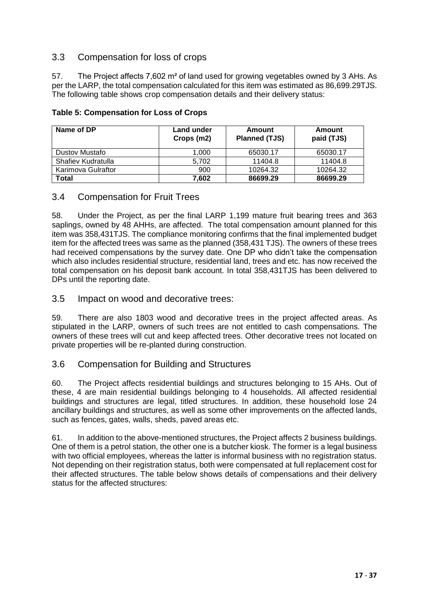#### <span id="page-16-1"></span><span id="page-16-0"></span>3.3 Compensation for loss of crops

57. The Project affects 7.602 m<sup>2</sup> of land used for growing vegetables owned by 3 AHs. As per the LARP, the total compensation calculated for this item was estimated as 86,699.29TJS. The following table shows crop compensation details and their delivery status:

| Name of DP         | Land under<br>Crops (m2) | Amount<br>Planned (TJS) | Amount<br>paid (TJS) |
|--------------------|--------------------------|-------------------------|----------------------|
| Dustov Mustafo     | 1.000                    | 65030.17                | 65030.17             |
| Shafiev Kudratulla | 5.702                    | 11404.8                 | 11404.8              |
| Karimova Gulraftor | 900                      | 10264.32                | 10264.32             |
| <b>Total</b>       | 7.602                    | 86699.29                | 86699.29             |

#### **Table 5: Compensation for Loss of Crops**

#### <span id="page-16-2"></span>3.4 Compensation for Fruit Trees

58. Under the Project, as per the final LARP 1,199 mature fruit bearing trees and 363 saplings, owned by 48 AHHs, are affected. The total compensation amount planned for this item was 358,431TJS. The compliance monitoring confirms that the final implemented budget item for the affected trees was same as the planned (358,431 TJS). The owners of these trees had received compensations by the survey date. One DP who didn't take the compensation which also includes residential structure, residential land, trees and etc. has now received the total compensation on his deposit bank account. In total 358,431TJS has been delivered to DPs until the reporting date.

#### <span id="page-16-3"></span>3.5 Impact on wood and decorative trees:

59. There are also 1803 wood and decorative trees in the project affected areas. As stipulated in the LARP, owners of such trees are not entitled to cash compensations. The owners of these trees will cut and keep affected trees. Other decorative trees not located on private properties will be re-planted during construction.

#### <span id="page-16-4"></span>3.6 Compensation for Building and Structures

60. The Project affects residential buildings and structures belonging to 15 AHs. Out of these, 4 are main residential buildings belonging to 4 households. All affected residential buildings and structures are legal, titled structures. In addition, these household lose 24 ancillary buildings and structures, as well as some other improvements on the affected lands, such as fences, gates, walls, sheds, paved areas etc.

61. In addition to the above-mentioned structures, the Project affects 2 business buildings. One of them is a petrol station, the other one is a butcher kiosk. The former is a legal business with two official employees, whereas the latter is informal business with no registration status. Not depending on their registration status, both were compensated at full replacement cost for their affected structures. The table below shows details of compensations and their delivery status for the affected structures: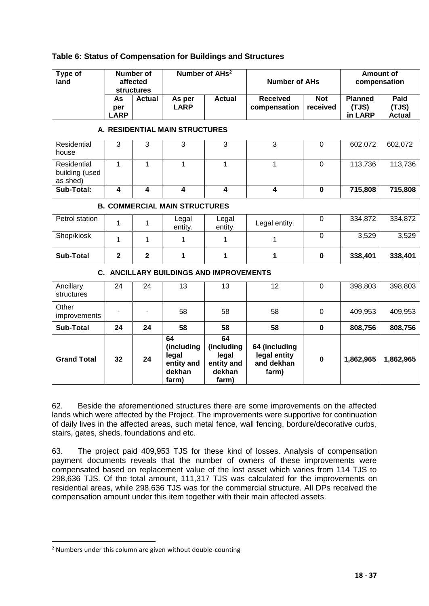| Type of<br>land                           |                          | <b>Number of</b><br>affected<br><b>structures</b> | Number of AHs <sup>2</sup>                                 |                                                            | <b>Number of AHs</b>                                 |                        |                                    | <b>Amount of</b><br>compensation |
|-------------------------------------------|--------------------------|---------------------------------------------------|------------------------------------------------------------|------------------------------------------------------------|------------------------------------------------------|------------------------|------------------------------------|----------------------------------|
|                                           | As<br>per<br><b>LARP</b> | <b>Actual</b>                                     | As per<br><b>LARP</b>                                      | <b>Actual</b>                                              | <b>Received</b><br>compensation                      | <b>Not</b><br>received | <b>Planned</b><br>(TJS)<br>in LARP | Paid<br>(TJS)<br><b>Actual</b>   |
|                                           |                          |                                                   | A. RESIDENTIAL MAIN STRUCTURES                             |                                                            |                                                      |                        |                                    |                                  |
| Residential<br>house                      | 3                        | 3                                                 | 3                                                          | 3                                                          | 3                                                    | $\mathbf 0$            | 602,072                            | 602,072                          |
| Residential<br>building (used<br>as shed) | $\mathbf 1$              | $\mathbf{1}$                                      | 1                                                          | 1                                                          | 1                                                    | $\Omega$               | 113,736                            | 113,736                          |
| Sub-Total:                                | $\overline{\mathbf{4}}$  | $\overline{4}$                                    | $\overline{\mathbf{4}}$                                    | 4                                                          | 4                                                    | $\mathbf 0$            | 715,808                            | 715,808                          |
| <b>B. COMMERCIAL MAIN STRUCTURES</b>      |                          |                                                   |                                                            |                                                            |                                                      |                        |                                    |                                  |
| Petrol station                            | $\mathbf 1$              | $\mathbf{1}$                                      | Legal<br>entity.                                           | Legal<br>entity.                                           | Legal entity.                                        | $\mathbf 0$            | 334,872                            | 334,872                          |
| Shop/kiosk                                | $\mathbf 1$              | $\mathbf{1}$                                      | $\mathbf{1}$                                               | 1                                                          | 1                                                    | $\mathbf 0$            | 3,529                              | 3,529                            |
| <b>Sub-Total</b>                          | $\overline{2}$           | $\overline{2}$                                    | $\mathbf{1}$                                               | 1                                                          | 1                                                    | $\mathbf 0$            | 338,401                            | 338,401                          |
|                                           |                          |                                                   |                                                            | <b>C. ANCILLARY BUILDINGS AND IMPROVEMENTS</b>             |                                                      |                        |                                    |                                  |
| Ancillary<br>structures                   | 24                       | 24                                                | 13                                                         | 13                                                         | 12                                                   | $\mathbf 0$            | 398,803                            | 398,803                          |
| Other<br>improvements                     |                          |                                                   | 58                                                         | 58                                                         | 58                                                   | $\mathbf 0$            | 409,953                            | 409,953                          |
| <b>Sub-Total</b>                          | 24                       | 24                                                | 58                                                         | 58                                                         | 58                                                   | $\mathbf 0$            | 808,756                            | 808,756                          |
| <b>Grand Total</b>                        | 32                       | 24                                                | 64<br>(including<br>legal<br>entity and<br>dekhan<br>farm) | 64<br>(including<br>legal<br>entity and<br>dekhan<br>farm) | 64 (including<br>legal entity<br>and dekhan<br>farm) | $\mathbf 0$            | 1,862,965                          | 1,862,965                        |

#### **Table 6: Status of Compensation for Buildings and Structures**

62. Beside the aforementioned structures there are some improvements on the affected lands which were affected by the Project. The improvements were supportive for continuation of daily lives in the affected areas, such metal fence, wall fencing, bordure/decorative curbs, stairs, gates, sheds, foundations and etc.

63. The project paid 409,953 TJS for these kind of losses. Analysis of compensation payment documents reveals that the number of owners of these improvements were compensated based on replacement value of the lost asset which varies from 114 TJS to 298,636 TJS. Of the total amount, 111,317 TJS was calculated for the improvements on residential areas, while 298,636 TJS was for the commercial structure. All DPs received the compensation amount under this item together with their main affected assets.

1

<sup>2</sup> Numbers under this column are given without double-counting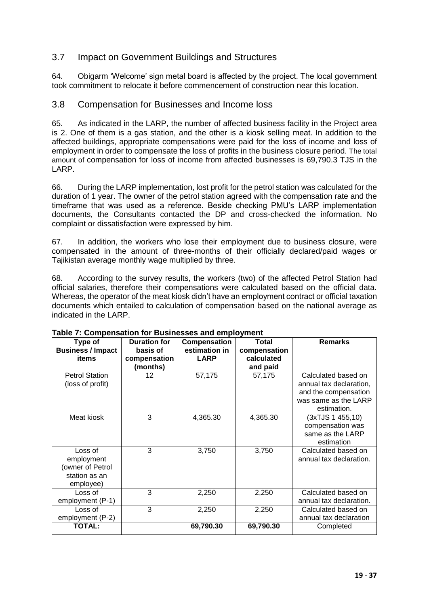#### <span id="page-18-0"></span>3.7 Impact on Government Buildings and Structures

64. Obigarm 'Welcome' sign metal board is affected by the project. The local government took commitment to relocate it before commencement of construction near this location.

#### <span id="page-18-1"></span>3.8 Compensation for Businesses and Income loss

65. As indicated in the LARP, the number of affected business facility in the Project area is 2. One of them is a gas station, and the other is a kiosk selling meat. In addition to the affected buildings, appropriate compensations were paid for the loss of income and loss of employment in order to compensate the loss of profits in the business closure period. The total amount of compensation for loss of income from affected businesses is 69,790.3 TJS in the LARP.

66. During the LARP implementation, lost profit for the petrol station was calculated for the duration of 1 year. The owner of the petrol station agreed with the compensation rate and the timeframe that was used as a reference. Beside checking PMU's LARP implementation documents, the Consultants contacted the DP and cross-checked the information. No complaint or dissatisfaction were expressed by him.

67. In addition, the workers who lose their employment due to business closure, were compensated in the amount of three-months of their officially declared/paid wages or Tajikistan average monthly wage multiplied by three.

68. According to the survey results, the workers (two) of the affected Petrol Station had official salaries, therefore their compensations were calculated based on the official data. Whereas, the operator of the meat kiosk didn't have an employment contract or official taxation documents which entailed to calculation of compensation based on the national average as indicated in the LARP.

| Type of<br><b>Business / Impact</b><br>items                            | <b>Duration for</b><br>basis of<br>compensation<br>(months) | Compensation<br>estimation in<br><b>LARP</b> | Total<br>compensation<br>calculated<br>and paid | <b>Remarks</b>                                                                                                |
|-------------------------------------------------------------------------|-------------------------------------------------------------|----------------------------------------------|-------------------------------------------------|---------------------------------------------------------------------------------------------------------------|
| <b>Petrol Station</b><br>(loss of profit)                               | 12                                                          | 57,175                                       | 57,175                                          | Calculated based on<br>annual tax declaration,<br>and the compensation<br>was same as the LARP<br>estimation. |
| Meat kiosk                                                              | 3                                                           | 4,365.30                                     | 4,365.30                                        | (3xTJS 1 455,10)<br>compensation was<br>same as the LARP<br>estimation                                        |
| Loss of<br>employment<br>(owner of Petrol<br>station as an<br>employee) | 3                                                           | 3,750                                        | 3,750                                           | Calculated based on<br>annual tax declaration.                                                                |
| Loss of<br>employment (P-1)                                             | 3                                                           | 2,250                                        | 2,250                                           | Calculated based on<br>annual tax declaration.                                                                |
| Loss of<br>employment (P-2)                                             | 3                                                           | 2,250                                        | 2,250                                           | Calculated based on<br>annual tax declaration                                                                 |
| <b>TOTAL:</b>                                                           |                                                             | 69,790.30                                    | 69,790.30                                       | Completed                                                                                                     |

#### **Table 7: Compensation for Businesses and employment**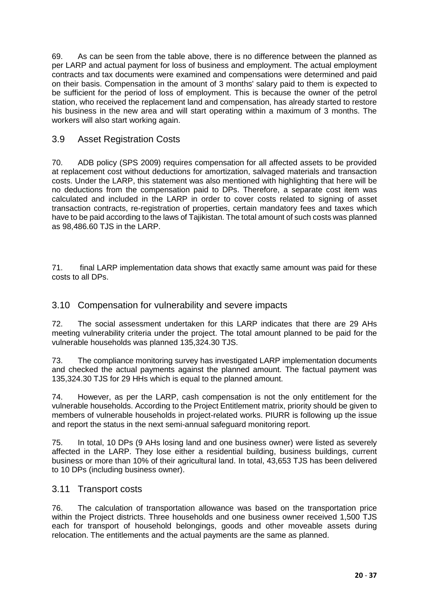69. As can be seen from the table above, there is no difference between the planned as per LARP and actual payment for loss of business and employment. The actual employment contracts and tax documents were examined and compensations were determined and paid on their basis. Compensation in the amount of 3 months' salary paid to them is expected to be sufficient for the period of loss of employment. This is because the owner of the petrol station, who received the replacement land and compensation, has already started to restore his business in the new area and will start operating within a maximum of 3 months. The workers will also start working again.

#### <span id="page-19-0"></span>3.9 Asset Registration Costs

70. ADB policy (SPS 2009) requires compensation for all affected assets to be provided at replacement cost without deductions for amortization, salvaged materials and transaction costs. Under the LARP, this statement was also mentioned with highlighting that here will be no deductions from the compensation paid to DPs. Therefore, a separate cost item was calculated and included in the LARP in order to cover costs related to signing of asset transaction contracts, re-registration of properties, certain mandatory fees and taxes which have to be paid according to the laws of Tajikistan. The total amount of such costs was planned as 98,486.60 TJS in the LARP.

71. final LARP implementation data shows that exactly same amount was paid for these costs to all DPs.

#### <span id="page-19-1"></span>3.10 Compensation for vulnerability and severe impacts

72. The social assessment undertaken for this LARP indicates that there are 29 AHs meeting vulnerability criteria under the project. The total amount planned to be paid for the vulnerable households was planned 135,324.30 TJS.

73. The compliance monitoring survey has investigated LARP implementation documents and checked the actual payments against the planned amount. The factual payment was 135,324.30 TJS for 29 HHs which is equal to the planned amount.

74. However, as per the LARP, cash compensation is not the only entitlement for the vulnerable households. According to the Project Entitlement matrix, priority should be given to members of vulnerable households in project-related works. PIURR is following up the issue and report the status in the next semi-annual safeguard monitoring report.

75. In total, 10 DPs (9 AHs losing land and one business owner) were listed as severely affected in the LARP. They lose either a residential building, business buildings, current business or more than 10% of their agricultural land. In total, 43,653 TJS has been delivered to 10 DPs (including business owner).

#### <span id="page-19-2"></span>3.11 Transport costs

76. The calculation of transportation allowance was based on the transportation price within the Project districts. Three households and one business owner received 1,500 TJS each for transport of household belongings, goods and other moveable assets during relocation. The entitlements and the actual payments are the same as planned.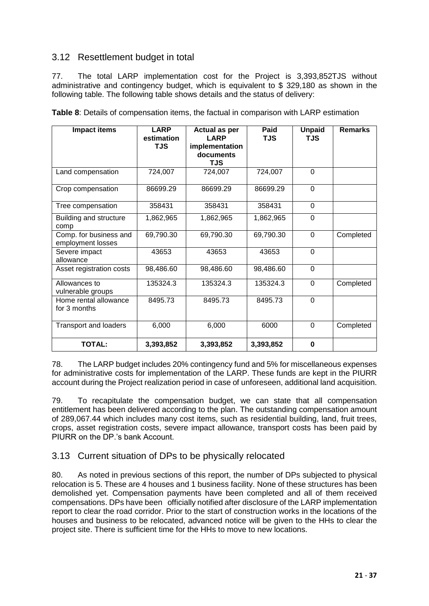#### <span id="page-20-0"></span>3.12 Resettlement budget in total

77. The total LARP implementation cost for the Project is 3,393,852TJS without administrative and contingency budget, which is equivalent to \$ 329,180 as shown in the following table. The following table shows details and the status of delivery:

| <b>Impact items</b>                         | <b>LARP</b><br>estimation<br><b>TJS</b> | Actual as per<br><b>LARP</b><br>implementation<br>documents<br><b>TJS</b> | Paid<br><b>TJS</b> | <b>Unpaid</b><br>TJS | <b>Remarks</b> |
|---------------------------------------------|-----------------------------------------|---------------------------------------------------------------------------|--------------------|----------------------|----------------|
| Land compensation                           | 724,007                                 | 724,007                                                                   | 724,007            | $\Omega$             |                |
| Crop compensation                           | 86699.29                                | 86699.29                                                                  | 86699.29           | 0                    |                |
| Tree compensation                           | 358431                                  | 358431                                                                    | 358431             | 0                    |                |
| Building and structure<br>comp              | 1,862,965                               | 1,862,965                                                                 | 1,862,965          | $\mathbf 0$          |                |
| Comp. for business and<br>employment losses | 69,790.30                               | 69,790.30                                                                 | 69,790.30          | $\mathbf 0$          | Completed      |
| Severe impact<br>allowance                  | 43653                                   | 43653                                                                     | 43653              | $\mathbf 0$          |                |
| Asset registration costs                    | 98,486.60                               | 98,486.60                                                                 | 98,486.60          | $\Omega$             |                |
| Allowances to<br>vulnerable groups          | 135324.3                                | 135324.3                                                                  | 135324.3           | 0                    | Completed      |
| Home rental allowance<br>for 3 months       | 8495.73                                 | 8495.73                                                                   | 8495.73            | $\mathbf 0$          |                |
| <b>Transport and loaders</b>                | 6,000                                   | 6,000                                                                     | 6000               | $\mathbf 0$          | Completed      |
| <b>TOTAL:</b>                               | 3,393,852                               | 3,393,852                                                                 | 3,393,852          | $\bf{0}$             |                |

**Table 8**: Details of compensation items, the factual in comparison with LARP estimation

78. The LARP budget includes 20% contingency fund and 5% for miscellaneous expenses for administrative costs for implementation of the LARP. These funds are kept in the PIURR account during the Project realization period in case of unforeseen, additional land acquisition.

79. To recapitulate the compensation budget, we can state that all compensation entitlement has been delivered according to the plan. The outstanding compensation amount of 289,067.44 which includes many cost items, such as residential building, land, fruit trees, crops, asset registration costs, severe impact allowance, transport costs has been paid by PIURR on the DP.'s bank Account.

#### <span id="page-20-1"></span>3.13 Current situation of DPs to be physically relocated

80. As noted in previous sections of this report, the number of DPs subjected to physical relocation is 5. These are 4 houses and 1 business facility. None of these structures has been demolished yet. Compensation payments have been completed and all of them received compensations. DPs have been officially notified after disclosure of the LARP implementation report to clear the road corridor. Prior to the start of construction works in the locations of the houses and business to be relocated, advanced notice will be given to the HHs to clear the project site. There is sufficient time for the HHs to move to new locations.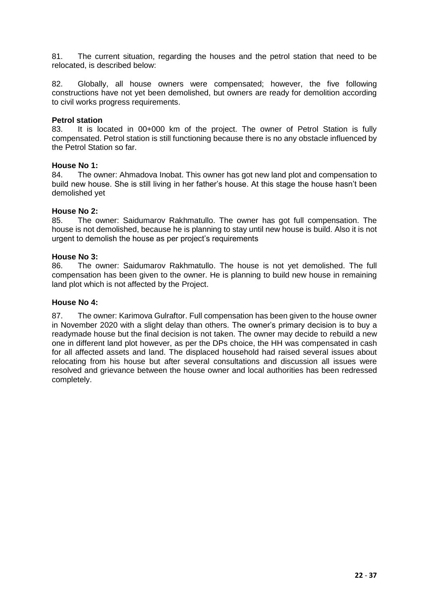81. The current situation, regarding the houses and the petrol station that need to be relocated, is described below:

82. Globally, all house owners were compensated; however, the five following constructions have not yet been demolished, but owners are ready for demolition according to civil works progress requirements.

#### **Petrol station**

83. It is located in 00+000 km of the project. The owner of Petrol Station is fully compensated. Petrol station is still functioning because there is no any obstacle influenced by the Petrol Station so far.

#### **House No 1:**

84. The owner: Ahmadova Inobat. This owner has got new land plot and compensation to build new house. She is still living in her father's house. At this stage the house hasn't been demolished yet

#### **House No 2:**

85. The owner: Saidumarov Rakhmatullo. The owner has got full compensation. The house is not demolished, because he is planning to stay until new house is build. Also it is not urgent to demolish the house as per project's requirements

#### **House No 3:**

86. The owner: Saidumarov Rakhmatullo. The house is not yet demolished. The full compensation has been given to the owner. He is planning to build new house in remaining land plot which is not affected by the Project.

#### **House No 4:**

87. The owner: Karimova Gulraftor. Full compensation has been given to the house owner in November 2020 with a slight delay than others. The owner's primary decision is to buy a readymade house but the final decision is not taken. The owner may decide to rebuild a new one in different land plot however, as per the DPs choice, the HH was compensated in cash for all affected assets and land. The displaced household had raised several issues about relocating from his house but after several consultations and discussion all issues were resolved and grievance between the house owner and local authorities has been redressed completely.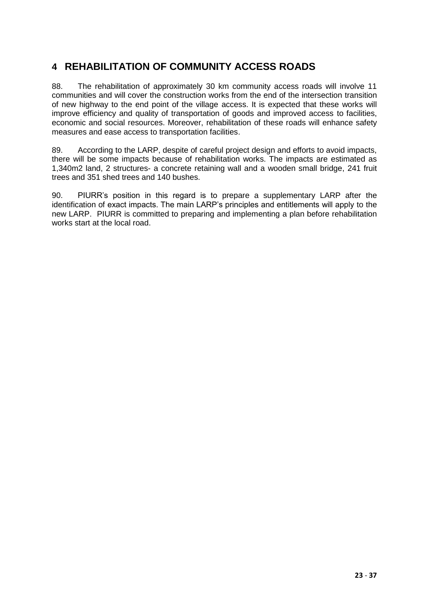### <span id="page-22-0"></span>**4 REHABILITATION OF COMMUNITY ACCESS ROADS**

88. The rehabilitation of approximately 30 km community access roads will involve 11 communities and will cover the construction works from the end of the intersection transition of new highway to the end point of the village access. It is expected that these works will improve efficiency and quality of transportation of goods and improved access to facilities, economic and social resources. Moreover, rehabilitation of these roads will enhance safety measures and ease access to transportation facilities.

89. According to the LARP, despite of careful project design and efforts to avoid impacts, there will be some impacts because of rehabilitation works. The impacts are estimated as 1,340m2 land, 2 structures- a concrete retaining wall and a wooden small bridge, 241 fruit trees and 351 shed trees and 140 bushes.

90. PIURR's position in this regard is to prepare a supplementary LARP after the identification of exact impacts. The main LARP's principles and entitlements will apply to the new LARP. PIURR is committed to preparing and implementing a plan before rehabilitation works start at the local road.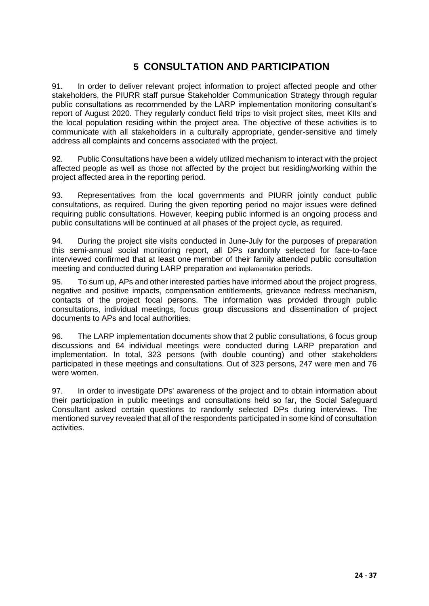#### **5 CONSULTATION AND PARTICIPATION**

<span id="page-23-0"></span>91. In order to deliver relevant project information to project affected people and other stakeholders, the PIURR staff pursue Stakeholder Communication Strategy through regular public consultations as recommended by the LARP implementation monitoring consultant's report of August 2020. They regularly conduct field trips to visit project sites, meet KIIs and the local population residing within the project area. The objective of these activities is to communicate with all stakeholders in a culturally appropriate, gender-sensitive and timely address all complaints and concerns associated with the project.

92. Public Consultations have been a widely utilized mechanism to interact with the project affected people as well as those not affected by the project but residing/working within the project affected area in the reporting period.

93. Representatives from the local governments and PIURR jointly conduct public consultations, as required. During the given reporting period no major issues were defined requiring public consultations. However, keeping public informed is an ongoing process and public consultations will be continued at all phases of the project cycle, as required.

94. During the project site visits conducted in June-July for the purposes of preparation this semi-annual social monitoring report, all DPs randomly selected for face-to-face interviewed confirmed that at least one member of their family attended public consultation meeting and conducted during LARP preparation and implementation periods.

95. To sum up, APs and other interested parties have informed about the project progress, negative and positive impacts, compensation entitlements, grievance redress mechanism, contacts of the project focal persons. The information was provided through public consultations, individual meetings, focus group discussions and dissemination of project documents to APs and local authorities.

96. The LARP implementation documents show that 2 public consultations, 6 focus group discussions and 64 individual meetings were conducted during LARP preparation and implementation. In total, 323 persons (with double counting) and other stakeholders participated in these meetings and consultations. Out of 323 persons, 247 were men and 76 were women.

97. In order to investigate DPs' awareness of the project and to obtain information about their participation in public meetings and consultations held so far, the Social Safeguard Consultant asked certain questions to randomly selected DPs during interviews. The mentioned survey revealed that all of the respondents participated in some kind of consultation activities.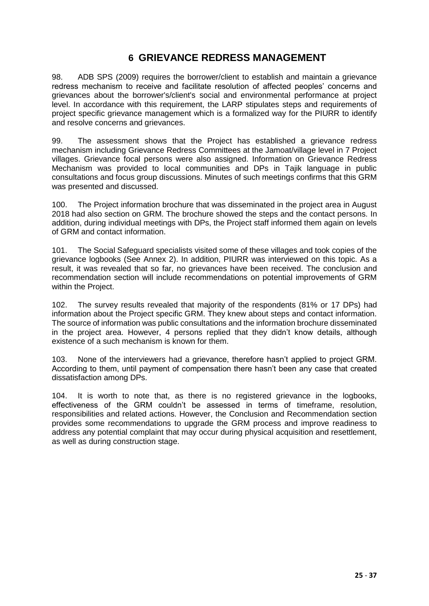#### **6 GRIEVANCE REDRESS MANAGEMENT**

<span id="page-24-0"></span>98. ADB SPS (2009) requires the borrower/client to establish and maintain a grievance redress mechanism to receive and facilitate resolution of affected peoples' concerns and grievances about the borrower's/client's social and environmental performance at project level. In accordance with this requirement, the LARP stipulates steps and requirements of project specific grievance management which is a formalized way for the PIURR to identify and resolve concerns and grievances.

99. The assessment shows that the Project has established a grievance redress mechanism including Grievance Redress Committees at the Jamoat/village level in 7 Project villages. Grievance focal persons were also assigned. Information on Grievance Redress Mechanism was provided to local communities and DPs in Tajik language in public consultations and focus group discussions. Minutes of such meetings confirms that this GRM was presented and discussed.

100. The Project information brochure that was disseminated in the project area in August 2018 had also section on GRM. The brochure showed the steps and the contact persons. In addition, during individual meetings with DPs, the Project staff informed them again on levels of GRM and contact information.

101. The Social Safeguard specialists visited some of these villages and took copies of the grievance logbooks (See Annex 2). In addition, PIURR was interviewed on this topic. As a result, it was revealed that so far, no grievances have been received. The conclusion and recommendation section will include recommendations on potential improvements of GRM within the Project.

102. The survey results revealed that majority of the respondents (81% or 17 DPs) had information about the Project specific GRM. They knew about steps and contact information. The source of information was public consultations and the information brochure disseminated in the project area. However, 4 persons replied that they didn't know details, although existence of a such mechanism is known for them.

103. None of the interviewers had a grievance, therefore hasn't applied to project GRM. According to them, until payment of compensation there hasn't been any case that created dissatisfaction among DPs.

104. It is worth to note that, as there is no registered grievance in the logbooks, effectiveness of the GRM couldn't be assessed in terms of timeframe, resolution, responsibilities and related actions. However, the Conclusion and Recommendation section provides some recommendations to upgrade the GRM process and improve readiness to address any potential complaint that may occur during physical acquisition and resettlement, as well as during construction stage.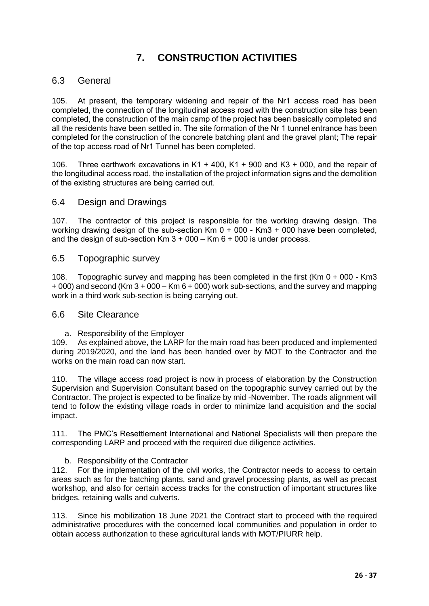### **7. CONSTRUCTION ACTIVITIES**

#### <span id="page-25-1"></span><span id="page-25-0"></span>6.3 General

105. At present, the temporary widening and repair of the Nr1 access road has been completed, the connection of the longitudinal access road with the construction site has been completed, the construction of the main camp of the project has been basically completed and all the residents have been settled in. The site formation of the Nr 1 tunnel entrance has been completed for the construction of the concrete batching plant and the gravel plant; The repair of the top access road of Nr1 Tunnel has been completed.

106. Three earthwork excavations in K1 + 400, K1 + 900 and K3 + 000, and the repair of the longitudinal access road, the installation of the project information signs and the demolition of the existing structures are being carried out.

#### <span id="page-25-2"></span>6.4 Design and Drawings

107. The contractor of this project is responsible for the working drawing design. The working drawing design of the sub-section Km  $0 + 000 -$  Km3 + 000 have been completed, and the design of sub-section  $Km$  3 + 000 –  $Km$  6 + 000 is under process.

#### <span id="page-25-3"></span>6.5 Topographic survey

108. Topographic survey and mapping has been completed in the first (Km 0 + 000 - Km3 + 000) and second (Km 3 + 000 – Km 6 + 000) work sub-sections, and the survey and mapping work in a third work sub-section is being carrying out.

#### <span id="page-25-4"></span>6.6 Site Clearance

a. Responsibility of the Employer

109. As explained above, the LARP for the main road has been produced and implemented during 2019/2020, and the land has been handed over by MOT to the Contractor and the works on the main road can now start.

110. The village access road project is now in process of elaboration by the Construction Supervision and Supervision Consultant based on the topographic survey carried out by the Contractor. The project is expected to be finalize by mid -November. The roads alignment will tend to follow the existing village roads in order to minimize land acquisition and the social impact.

111. The PMC's Resettlement International and National Specialists will then prepare the corresponding LARP and proceed with the required due diligence activities.

#### b. Responsibility of the Contractor

112. For the implementation of the civil works, the Contractor needs to access to certain areas such as for the batching plants, sand and gravel processing plants, as well as precast workshop, and also for certain access tracks for the construction of important structures like bridges, retaining walls and culverts.

113. Since his mobilization 18 June 2021 the Contract start to proceed with the required administrative procedures with the concerned local communities and population in order to obtain access authorization to these agricultural lands with MOT/PIURR help.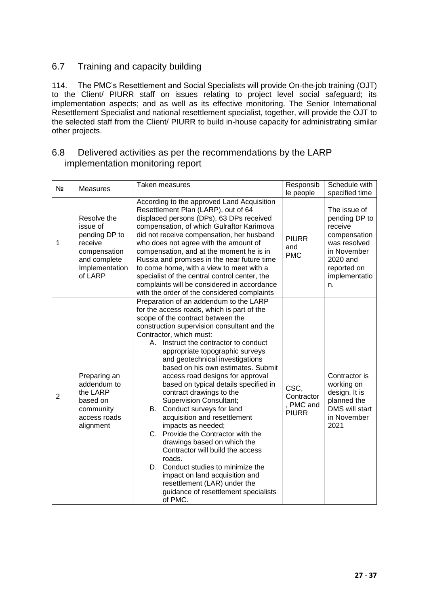#### <span id="page-26-0"></span>6.7 Training and capacity building

114. The PMC's Resettlement and Social Specialists will provide On-the-job training (OJT) to the Client/ PIURR staff on issues relating to project level social safeguard; its implementation aspects; and as well as its effective monitoring. The Senior International Resettlement Specialist and national resettlement specialist, together, will provide the OJT to the selected staff from the Client/ PIURR to build in-house capacity for administrating similar other projects.

| N <sub>2</sub> | <b>Measures</b>                                                                                                  | <b>Taken measures</b>                                                                                                                                                                                                                                                                                                                                                                                                                                                                                                                                                                                                                                                                                                                                                                                                                                                           | Responsib<br>le people                          | Schedule with<br>specified time                                                                                                           |
|----------------|------------------------------------------------------------------------------------------------------------------|---------------------------------------------------------------------------------------------------------------------------------------------------------------------------------------------------------------------------------------------------------------------------------------------------------------------------------------------------------------------------------------------------------------------------------------------------------------------------------------------------------------------------------------------------------------------------------------------------------------------------------------------------------------------------------------------------------------------------------------------------------------------------------------------------------------------------------------------------------------------------------|-------------------------------------------------|-------------------------------------------------------------------------------------------------------------------------------------------|
| 1              | Resolve the<br>issue of<br>pending DP to<br>receive<br>compensation<br>and complete<br>Implementation<br>of LARP | According to the approved Land Acquisition<br>Resettlement Plan (LARP), out of 64<br>displaced persons (DPs), 63 DPs received<br>compensation, of which Gulraftor Karimova<br>did not receive compensation, her husband<br>who does not agree with the amount of<br>compensation, and at the moment he is in<br>Russia and promises in the near future time<br>to come home, with a view to meet with a<br>specialist of the central control center, the<br>complaints will be considered in accordance<br>with the order of the considered complaints                                                                                                                                                                                                                                                                                                                          | <b>PIURR</b><br>and<br><b>PMC</b>               | The issue of<br>pending DP to<br>receive<br>compensation<br>was resolved<br>in November<br>2020 and<br>reported on<br>implementatio<br>n. |
| $\overline{2}$ | Preparing an<br>addendum to<br>the LARP<br>based on<br>community<br>access roads<br>alignment                    | Preparation of an addendum to the LARP<br>for the access roads, which is part of the<br>scope of the contract between the<br>construction supervision consultant and the<br>Contractor, which must:<br>Instruct the contractor to conduct<br>А.<br>appropriate topographic surveys<br>and geotechnical investigations<br>based on his own estimates. Submit<br>access road designs for approval<br>based on typical details specified in<br>contract drawings to the<br><b>Supervision Consultant;</b><br>Conduct surveys for land<br>B.<br>acquisition and resettlement<br>impacts as needed;<br>C. Provide the Contractor with the<br>drawings based on which the<br>Contractor will build the access<br>roads.<br>D.<br>Conduct studies to minimize the<br>impact on land acquisition and<br>resettlement (LAR) under the<br>guidance of resettlement specialists<br>of PMC. | CSC,<br>Contractor<br>, PMC and<br><b>PIURR</b> | Contractor is<br>working on<br>design. It is<br>planned the<br><b>DMS will start</b><br>in November<br>2021                               |

#### <span id="page-26-1"></span>6.8 Delivered activities as per the recommendations by the LARP implementation monitoring report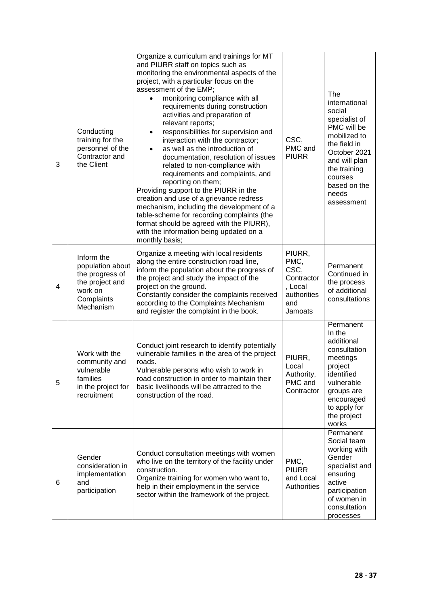| 3 | Conducting<br>training for the<br>personnel of the<br>Contractor and<br>the Client                         | Organize a curriculum and trainings for MT<br>and PIURR staff on topics such as<br>monitoring the environmental aspects of the<br>project, with a particular focus on the<br>assessment of the EMP;<br>monitoring compliance with all<br>requirements during construction<br>activities and preparation of<br>relevant reports;<br>responsibilities for supervision and<br>٠<br>interaction with the contractor;<br>as well as the introduction of<br>$\bullet$<br>documentation, resolution of issues<br>related to non-compliance with<br>requirements and complaints, and<br>reporting on them;<br>Providing support to the PIURR in the<br>creation and use of a grievance redress<br>mechanism, including the development of a<br>table-scheme for recording complaints (the<br>format should be agreed with the PIURR),<br>with the information being updated on a<br>monthly basis; | CSC,<br>PMC and<br><b>PIURR</b>                                                  | The<br>international<br>social<br>specialist of<br>PMC will be<br>mobilized to<br>the field in<br>October 2021<br>and will plan<br>the training<br>courses<br>based on the<br>needs<br>assessment |
|---|------------------------------------------------------------------------------------------------------------|--------------------------------------------------------------------------------------------------------------------------------------------------------------------------------------------------------------------------------------------------------------------------------------------------------------------------------------------------------------------------------------------------------------------------------------------------------------------------------------------------------------------------------------------------------------------------------------------------------------------------------------------------------------------------------------------------------------------------------------------------------------------------------------------------------------------------------------------------------------------------------------------|----------------------------------------------------------------------------------|---------------------------------------------------------------------------------------------------------------------------------------------------------------------------------------------------|
| 4 | Inform the<br>population about<br>the progress of<br>the project and<br>work on<br>Complaints<br>Mechanism | Organize a meeting with local residents<br>along the entire construction road line,<br>inform the population about the progress of<br>the project and study the impact of the<br>project on the ground.<br>Constantly consider the complaints received<br>according to the Complaints Mechanism<br>and register the complaint in the book.                                                                                                                                                                                                                                                                                                                                                                                                                                                                                                                                                 | PIURR,<br>PMC,<br>CSC,<br>Contractor<br>, Local<br>authorities<br>and<br>Jamoats | Permanent<br>Continued in<br>the process<br>of additional<br>consultations                                                                                                                        |
| 5 | Work with the<br>community and<br>vulnerable<br>families<br>in the project for<br>recruitment              | Conduct joint research to identify potentially<br>vulnerable families in the area of the project<br>roads.<br>Vulnerable persons who wish to work in<br>road construction in order to maintain their<br>basic livelihoods will be attracted to the<br>construction of the road.                                                                                                                                                                                                                                                                                                                                                                                                                                                                                                                                                                                                            | PIURR,<br>Local<br>Authority,<br>PMC and<br>Contractor                           | Permanent<br>In the<br>additional<br>consultation<br>meetings<br>project<br>identified<br>vulnerable<br>groups are<br>encouraged<br>to apply for<br>the project<br>works                          |
| 6 | Gender<br>consideration in<br>implementation<br>and<br>participation                                       | Conduct consultation meetings with women<br>who live on the territory of the facility under<br>construction.<br>Organize training for women who want to,<br>help in their employment in the service<br>sector within the framework of the project.                                                                                                                                                                                                                                                                                                                                                                                                                                                                                                                                                                                                                                         | PMC,<br><b>PIURR</b><br>and Local<br>Authorities                                 | Permanent<br>Social team<br>working with<br>Gender<br>specialist and<br>ensuring<br>active<br>participation<br>of women in<br>consultation<br>processes                                           |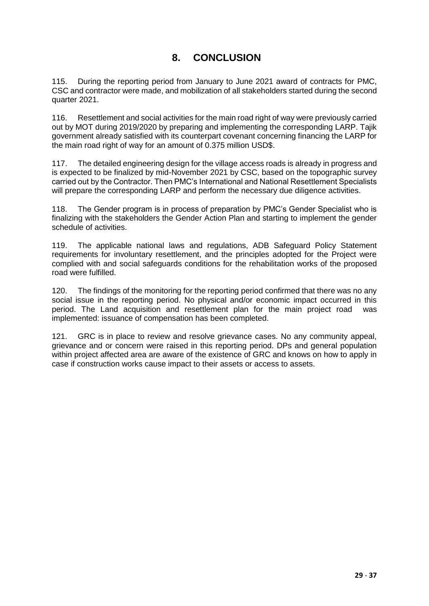#### **8. CONCLUSION**

<span id="page-28-0"></span>115. During the reporting period from January to June 2021 award of contracts for PMC, CSC and contractor were made, and mobilization of all stakeholders started during the second quarter 2021.

116. Resettlement and social activities for the main road right of way were previously carried out by MOT during 2019/2020 by preparing and implementing the corresponding LARP. Tajik government already satisfied with its counterpart covenant concerning financing the LARP for the main road right of way for an amount of 0.375 million USD\$.

117. The detailed engineering design for the village access roads is already in progress and is expected to be finalized by mid-November 2021 by CSC, based on the topographic survey carried out by the Contractor. Then PMC's International and National Resettlement Specialists will prepare the corresponding LARP and perform the necessary due diligence activities.

118. The Gender program is in process of preparation by PMC's Gender Specialist who is finalizing with the stakeholders the Gender Action Plan and starting to implement the gender schedule of activities.

119. The applicable national laws and regulations, ADB Safeguard Policy Statement requirements for involuntary resettlement, and the principles adopted for the Project were complied with and social safeguards conditions for the rehabilitation works of the proposed road were fulfilled.

120. The findings of the monitoring for the reporting period confirmed that there was no any social issue in the reporting period. No physical and/or economic impact occurred in this period. The Land acquisition and resettlement plan for the main project road was implemented: issuance of compensation has been completed.

121. GRC is in place to review and resolve grievance cases. No any community appeal, grievance and or concern were raised in this reporting period. DPs and general population within project affected area are aware of the existence of GRC and knows on how to apply in case if construction works cause impact to their assets or access to assets.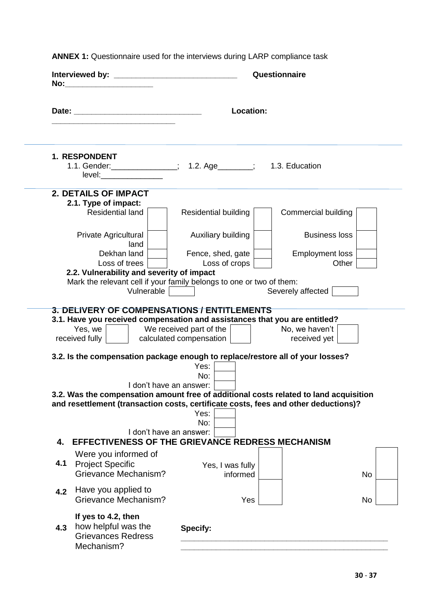|                                                                                | Questionnaire                                                                                                                                                                                                   |  |  |  |  |  |
|--------------------------------------------------------------------------------|-----------------------------------------------------------------------------------------------------------------------------------------------------------------------------------------------------------------|--|--|--|--|--|
|                                                                                | Location:                                                                                                                                                                                                       |  |  |  |  |  |
| 1. RESPONDENT<br>level: ________________                                       | 1.1. Gender: ________________; 1.2. Age________; 1.3. Education                                                                                                                                                 |  |  |  |  |  |
| <b>2. DETAILS OF IMPACT</b>                                                    |                                                                                                                                                                                                                 |  |  |  |  |  |
| 2.1. Type of impact:<br>Residential land                                       | <b>Residential building</b><br>Commercial building                                                                                                                                                              |  |  |  |  |  |
| <b>Private Agricultural</b><br>land                                            | <b>Business loss</b><br>Auxiliary building                                                                                                                                                                      |  |  |  |  |  |
| Dekhan land<br>Loss of trees                                                   | Fence, shed, gate<br><b>Employment loss</b><br>Loss of crops<br>Other                                                                                                                                           |  |  |  |  |  |
| 2.2. Vulnerability and severity of impact<br>Vulnerable                        | Mark the relevant cell if your family belongs to one or two of them:<br>Severely affected                                                                                                                       |  |  |  |  |  |
|                                                                                | 3. DELIVERY OF COMPENSATIONS / ENTITLEMENTS<br>3.1. Have you received compensation and assistances that you are entitled?                                                                                       |  |  |  |  |  |
|                                                                                |                                                                                                                                                                                                                 |  |  |  |  |  |
| Yes, we<br>received fully                                                      | We received part of the<br>No, we haven't<br>calculated compensation<br>received yet                                                                                                                            |  |  |  |  |  |
|                                                                                | 3.2. Is the compensation package enough to replace/restore all of your losses?<br>Yes:                                                                                                                          |  |  |  |  |  |
|                                                                                | No:                                                                                                                                                                                                             |  |  |  |  |  |
|                                                                                | I don't have an answer:<br>3.2. Was the compensation amount free of additional costs related to land acquisition<br>and resettlement (transaction costs, certificate costs, fees and other deductions)?<br>Yes: |  |  |  |  |  |
|                                                                                | No:                                                                                                                                                                                                             |  |  |  |  |  |
| 4.                                                                             | I don't have an answer:<br>EFFECTIVENESS OF THE GRIEVANCE REDRESS MECHANISM                                                                                                                                     |  |  |  |  |  |
| Were you informed of<br>4.1<br><b>Project Specific</b><br>Grievance Mechanism? | Yes, I was fully<br>informed<br><b>No</b>                                                                                                                                                                       |  |  |  |  |  |
| Have you applied to<br>4.2<br><b>Grievance Mechanism?</b>                      | Yes<br><b>No</b>                                                                                                                                                                                                |  |  |  |  |  |

**ANNEX 1:** Questionnaire used for the interviews during LARP compliance task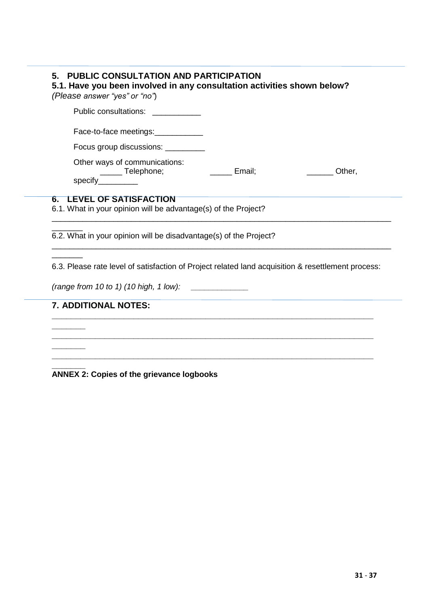#### **5. PUBLIC CONSULTATION AND PARTICIPATION**

**5.1. Have you been involved in any consultation activities shown below?**

*(Please answer "yes" or "no"*)

| Public consultations: ___________                                                                  |        |        |
|----------------------------------------------------------------------------------------------------|--------|--------|
| Face-to-face meetings:                                                                             |        |        |
| Focus group discussions: __________                                                                |        |        |
| Other ways of communications:<br>______ Telephone;<br>specify_________                             | Email; | Other, |
| <b>6. LEVEL OF SATISFACTION</b><br>6.1. What in your opinion will be advantage(s) of the Project?  |        |        |
| 6.2. What in your opinion will be disadvantage(s) of the Project?                                  |        |        |
| 6.3. Please rate level of satisfaction of Project related land acquisition & resettlement process: |        |        |
| (range from 10 to 1) (10 high, 1 low): $\frac{1}{2}$                                               |        |        |
| <b>7. ADDITIONAL NOTES:</b>                                                                        |        |        |
|                                                                                                    |        |        |
|                                                                                                    |        |        |
| .                                                                                                  |        |        |

**ANNEX 2: Copies of the grievance logbooks**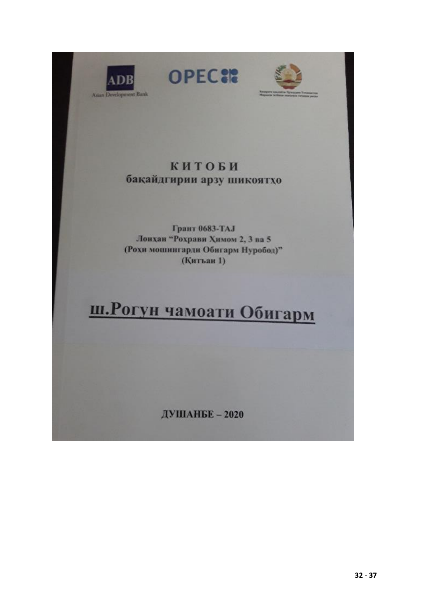





**КИТОБИ** бақайдгирии арзу шикоятхо

Грант 0683-ТАЈ Лонхан "Рохрави Химом 2, 3 ва 5 (Рохи мошингарди Обигарм Нуробод)" (Китьан 1)

# ш. Рогун чамоати Обигарм

ДУШАНБЕ - 2020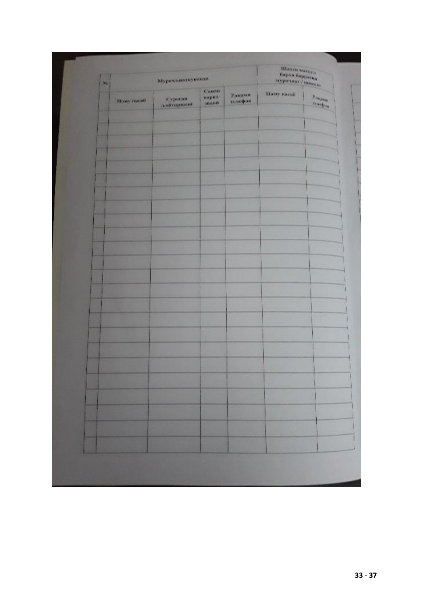| N. |            | Муровлавскупана.        | Canno                 |                    | - Шахен маскул<br>- барон баррасан<br>мурочная / шахен; |                                                                |
|----|------------|-------------------------|-----------------------|--------------------|---------------------------------------------------------|----------------------------------------------------------------|
|    | Howy naca6 | — Сураган<br>авиаграаны | mapma.<br><b>MARK</b> | Panance<br>телефон | Hosty mean                                              | $\frac{\mathbf{p}_{\text{maxmax}}}{\mathbf{p}_{\text{max}}-1}$ |
|    |            |                         |                       |                    |                                                         |                                                                |
|    |            |                         |                       |                    |                                                         |                                                                |
|    |            |                         |                       |                    |                                                         |                                                                |
|    |            |                         |                       |                    |                                                         |                                                                |
|    |            |                         |                       |                    |                                                         |                                                                |
|    |            |                         |                       |                    |                                                         |                                                                |
|    |            |                         |                       |                    |                                                         |                                                                |
|    |            |                         |                       |                    |                                                         |                                                                |
|    |            |                         |                       |                    |                                                         |                                                                |
|    |            |                         |                       |                    |                                                         |                                                                |
|    |            |                         |                       |                    |                                                         |                                                                |
|    |            |                         |                       |                    |                                                         |                                                                |
|    |            |                         |                       |                    |                                                         |                                                                |
|    |            |                         |                       |                    |                                                         |                                                                |
|    |            |                         |                       |                    |                                                         |                                                                |
|    |            |                         |                       |                    |                                                         |                                                                |
|    |            |                         |                       |                    |                                                         |                                                                |
|    |            |                         |                       |                    |                                                         |                                                                |
|    |            |                         |                       |                    |                                                         |                                                                |
|    |            |                         |                       |                    |                                                         |                                                                |
|    |            |                         |                       |                    |                                                         |                                                                |
|    |            |                         |                       |                    |                                                         |                                                                |
|    |            |                         |                       |                    |                                                         |                                                                |
|    |            |                         |                       |                    |                                                         |                                                                |
|    |            |                         |                       |                    |                                                         |                                                                |
|    |            |                         |                       |                    |                                                         |                                                                |
|    |            |                         |                       |                    |                                                         |                                                                |
|    |            |                         |                       |                    |                                                         |                                                                |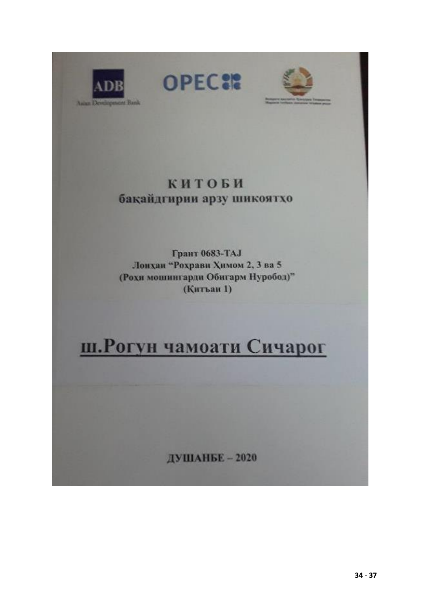



## **КИТОБИ** бакайдгирии арзу шикоятхо

**Грант 0683-ТАЈ** Лонхан "Рохрави Химом 2, 3 ва 5 (Рохи мошингарди Обигарм Нуробод)" (Китьан 1)

## ш. Рогун чамоати Сичарог

ДУШАНБЕ - 2020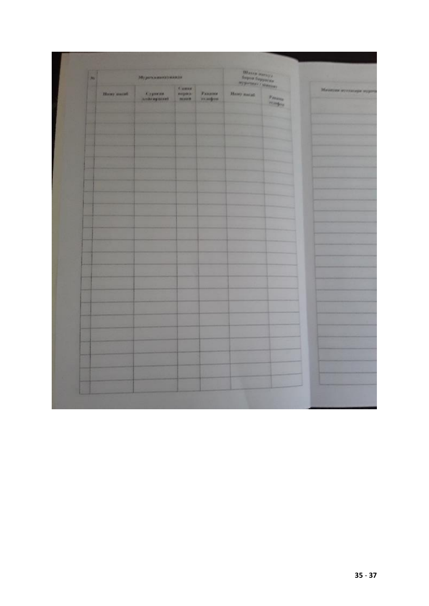| W |             | My personal requires                                                                                                                                                                                                                                                                     |              |                                    | Morry Mary)<br>Report Goppania<br>My Person's Charles |                                 |                           |
|---|-------------|------------------------------------------------------------------------------------------------------------------------------------------------------------------------------------------------------------------------------------------------------------------------------------------|--------------|------------------------------------|-------------------------------------------------------|---------------------------------|---------------------------|
|   | Hours and I | $\begin{array}{c} \begin{array}{c} \begin{array}{c} \begin{array}{c} \end{array} \\ \begin{array}{c} \end{array} \end{array} \end{array} \end{array} \end{array} \begin{array}{c} \begin{array}{c} \begin{array}{c} \end{array} \\ \begin{array}{c} \end{array} \end{array} \end{array}$ | <b>Comer</b> | <b>FARRISH</b><br><b>EXLANGION</b> | Hans) maried                                          | $\mu_{R\sigma\omega\omega_{R}}$ | Meanjus systematic system |
|   |             |                                                                                                                                                                                                                                                                                          |              |                                    |                                                       | is angles of                    |                           |
|   |             |                                                                                                                                                                                                                                                                                          |              |                                    |                                                       |                                 |                           |
|   |             |                                                                                                                                                                                                                                                                                          |              |                                    |                                                       |                                 |                           |
|   |             |                                                                                                                                                                                                                                                                                          |              |                                    |                                                       |                                 |                           |
|   |             |                                                                                                                                                                                                                                                                                          |              |                                    |                                                       |                                 |                           |
|   |             |                                                                                                                                                                                                                                                                                          |              |                                    |                                                       |                                 |                           |
|   |             |                                                                                                                                                                                                                                                                                          |              |                                    |                                                       |                                 |                           |
|   |             |                                                                                                                                                                                                                                                                                          |              |                                    |                                                       |                                 |                           |
|   |             |                                                                                                                                                                                                                                                                                          |              |                                    |                                                       |                                 |                           |
|   |             |                                                                                                                                                                                                                                                                                          |              |                                    |                                                       |                                 |                           |
|   |             |                                                                                                                                                                                                                                                                                          |              |                                    |                                                       |                                 |                           |
|   |             |                                                                                                                                                                                                                                                                                          |              |                                    |                                                       |                                 |                           |
|   |             |                                                                                                                                                                                                                                                                                          |              |                                    |                                                       |                                 |                           |
|   |             |                                                                                                                                                                                                                                                                                          |              |                                    |                                                       |                                 |                           |
|   |             |                                                                                                                                                                                                                                                                                          |              |                                    |                                                       |                                 |                           |
|   |             |                                                                                                                                                                                                                                                                                          |              |                                    |                                                       |                                 |                           |
|   |             |                                                                                                                                                                                                                                                                                          |              |                                    |                                                       |                                 |                           |
|   |             |                                                                                                                                                                                                                                                                                          |              |                                    |                                                       |                                 |                           |
|   |             |                                                                                                                                                                                                                                                                                          |              |                                    |                                                       |                                 |                           |
|   |             |                                                                                                                                                                                                                                                                                          |              |                                    |                                                       |                                 |                           |
|   |             |                                                                                                                                                                                                                                                                                          |              |                                    |                                                       |                                 |                           |
|   |             |                                                                                                                                                                                                                                                                                          |              |                                    |                                                       |                                 |                           |
|   |             |                                                                                                                                                                                                                                                                                          |              |                                    |                                                       |                                 |                           |
|   |             |                                                                                                                                                                                                                                                                                          |              |                                    |                                                       |                                 |                           |
|   |             |                                                                                                                                                                                                                                                                                          |              |                                    |                                                       |                                 |                           |
|   |             |                                                                                                                                                                                                                                                                                          |              |                                    |                                                       |                                 |                           |
|   |             |                                                                                                                                                                                                                                                                                          |              |                                    |                                                       |                                 |                           |
|   |             |                                                                                                                                                                                                                                                                                          |              |                                    |                                                       |                                 |                           |
|   |             |                                                                                                                                                                                                                                                                                          |              |                                    |                                                       |                                 |                           |
|   |             |                                                                                                                                                                                                                                                                                          |              |                                    |                                                       |                                 |                           |
|   |             |                                                                                                                                                                                                                                                                                          |              |                                    |                                                       |                                 |                           |
|   |             |                                                                                                                                                                                                                                                                                          |              |                                    |                                                       |                                 |                           |
|   |             |                                                                                                                                                                                                                                                                                          |              |                                    |                                                       |                                 |                           |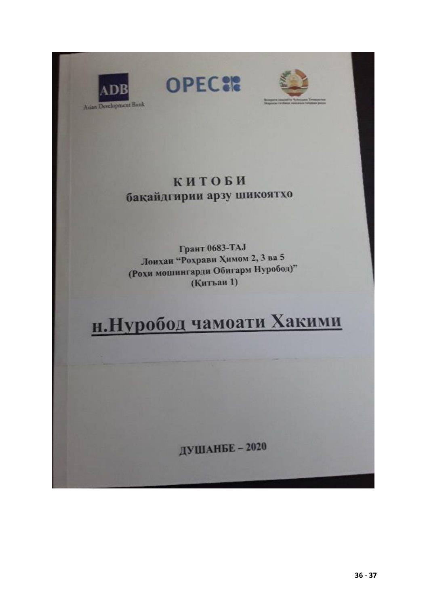



## Asian Deselopment Bank

ADB

## **КИТОБИ** бакайдгирии арзу шикоятхо

**Грант 0683-ТАЈ** Лоихаи "Рохрави Химом 2, 3 ва 5 (Рохи мошингарди Обигарм Нуробод)" (Китьан 1)

# н. Нуробод чамоати Хакими

ДУШАНБЕ - 2020